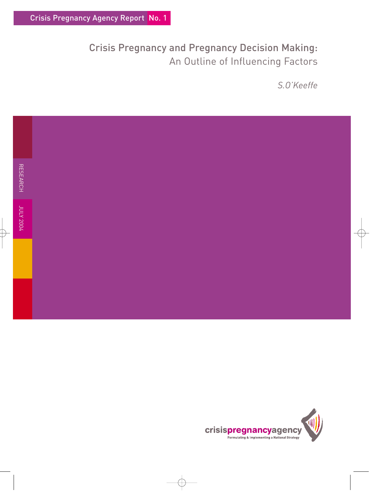# Crisis Pregnancy and Pregnancy Decision Making: An Outline of Influencing Factors

*S.O'Keeffe*



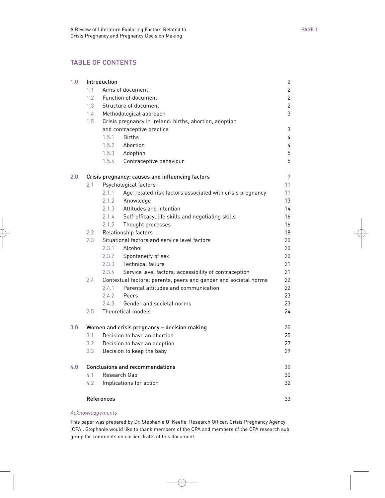# TABLE OF CONTENTS

| 1.0 | Introduction                                     |                                                                  |                                                           |    |  |  |  |
|-----|--------------------------------------------------|------------------------------------------------------------------|-----------------------------------------------------------|----|--|--|--|
|     | 1.1                                              | Aims of document                                                 |                                                           |    |  |  |  |
|     | 1.2                                              | Function of document                                             |                                                           |    |  |  |  |
|     | 1.3                                              | Structure of document                                            |                                                           |    |  |  |  |
|     | $1.4 -$                                          | Methodological approach                                          |                                                           |    |  |  |  |
|     | 1.5                                              |                                                                  | Crisis pregnancy in Ireland: births, abortion, adoption   |    |  |  |  |
|     |                                                  |                                                                  | and contraceptive practice                                |    |  |  |  |
|     |                                                  | 1.5.1                                                            | <b>Births</b>                                             | 4  |  |  |  |
|     |                                                  | 1.5.2                                                            | Abortion                                                  | 4  |  |  |  |
|     |                                                  |                                                                  | 1.5.3 Adoption                                            | 5  |  |  |  |
|     |                                                  | 1.5.4                                                            | Contraceptive behaviour                                   | 5  |  |  |  |
| 2.0 | Crisis pregnancy: causes and influencing factors |                                                                  |                                                           |    |  |  |  |
|     | Psychological factors<br>2.1                     |                                                                  |                                                           |    |  |  |  |
|     |                                                  | 2.1.1                                                            | Age-related risk factors associated with crisis pregnancy | 11 |  |  |  |
|     |                                                  | 2.1.2                                                            | Knowledge                                                 | 13 |  |  |  |
|     |                                                  | 2.1.3                                                            | Attitudes and intention                                   | 14 |  |  |  |
|     |                                                  | 2.1.4                                                            | Self-efficacy, life skills and negotiating skills         | 16 |  |  |  |
|     |                                                  | 2.1.5                                                            | Thought processes                                         | 16 |  |  |  |
|     | 2.2                                              | Relationship factors                                             |                                                           |    |  |  |  |
|     |                                                  | 2.3<br>Situational factors and service level factors             |                                                           |    |  |  |  |
|     |                                                  | 2.3.1                                                            | Alcohol                                                   | 20 |  |  |  |
|     |                                                  | 2.3.2                                                            | Spontaneity of sex                                        | 20 |  |  |  |
|     |                                                  | 2.3.3                                                            | Technical failure                                         | 21 |  |  |  |
|     |                                                  | 2.3.4                                                            | Service level factors: accessibility of contraception     | 21 |  |  |  |
|     | 2.4                                              | Contextual factors: parents, peers and gender and societal norms |                                                           | 22 |  |  |  |
|     |                                                  | 2.4.1                                                            | Parental attitudes and communication                      | 22 |  |  |  |
|     |                                                  | 2.4.2                                                            | Peers                                                     | 23 |  |  |  |
|     |                                                  | 2.4.3                                                            | Gender and societal norms                                 | 23 |  |  |  |
|     | 2.5                                              |                                                                  | Theoretical models                                        | 24 |  |  |  |
| 3.0 |                                                  | Women and crisis pregnancy - decision making                     |                                                           |    |  |  |  |
|     | 3.1                                              | Decision to have an abortion                                     |                                                           |    |  |  |  |
|     | 3.2                                              | Decision to have an adoption                                     |                                                           |    |  |  |  |
|     | 3.3 <sup>°</sup>                                 |                                                                  | Decision to keep the baby                                 | 29 |  |  |  |
| 4.0 | <b>Conclusions and recommendations</b>           |                                                                  |                                                           |    |  |  |  |
|     | 4.1                                              | Research Gap                                                     |                                                           |    |  |  |  |
|     | 4.2                                              |                                                                  | Implications for action                                   | 32 |  |  |  |
|     | References                                       |                                                                  |                                                           |    |  |  |  |
|     |                                                  |                                                                  |                                                           |    |  |  |  |

#### *Acknowledgements*

This paper was prepared by Dr. Stephanie O' Keeffe, Research Officer, Crisis Pregnancy Agency (CPA). Stephanie would like to thank members of the CPA and members of the CPA research sub group for comments on earlier drafts of this document.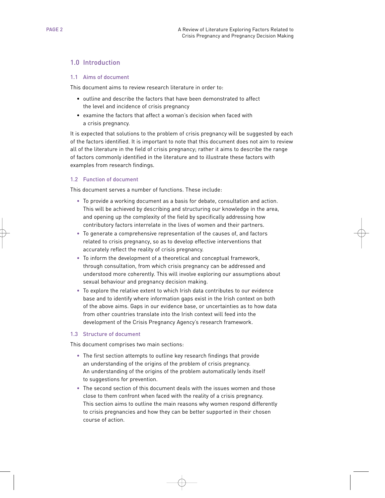# 1.0 Introduction

#### 1.1 Aims of document

This document aims to review research literature in order to:

- outline and describe the factors that have been demonstrated to affect the level and incidence of crisis pregnancy
- examine the factors that affect a woman's decision when faced with a crisis pregnancy.

It is expected that solutions to the problem of crisis pregnancy will be suggested by each of the factors identified. It is important to note that this document does not aim to review all of the literature in the field of crisis pregnancy; rather it aims to describe the range of factors commonly identified in the literature and to illustrate these factors with examples from research findings.

#### 1.2 Function of document

This document serves a number of functions. These include:

- To provide a working document as a basis for debate, consultation and action. This will be achieved by describing and structuring our knowledge in the area, and opening up the complexity of the field by specifically addressing how contributory factors interrelate in the lives of women and their partners.
- To generate a comprehensive representation of the causes of, and factors related to crisis pregnancy, so as to develop effective interventions that accurately reflect the reality of crisis pregnancy.
- To inform the development of a theoretical and conceptual framework, through consultation, from which crisis pregnancy can be addressed and understood more coherently. This will involve exploring our assumptions about sexual behaviour and pregnancy decision making.
- To explore the relative extent to which Irish data contributes to our evidence base and to identify where information gaps exist in the Irish context on both of the above aims. Gaps in our evidence base, or uncertainties as to how data from other countries translate into the Irish context will feed into the development of the Crisis Pregnancy Agency's research framework.

#### 1.3 Structure of document

This document comprises two main sections:

- The first section attempts to outline key research findings that provide an understanding of the origins of the problem of crisis pregnancy. An understanding of the origins of the problem automatically lends itself to suggestions for prevention.
- The second section of this document deals with the issues women and those close to them confront when faced with the reality of a crisis pregnancy. This section aims to outline the main reasons why women respond differently to crisis pregnancies and how they can be better supported in their chosen course of action.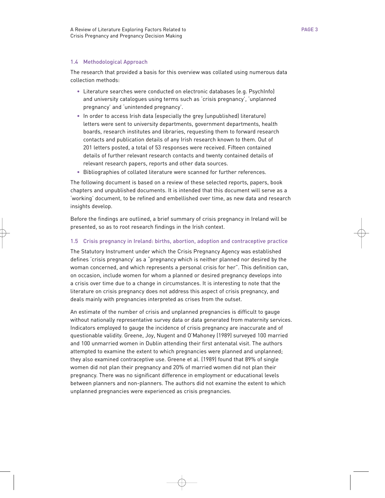### 1.4 Methodological Approach

The research that provided a basis for this overview was collated using numerous data collection methods:

- Literature searches were conducted on electronic databases (e.g. PsychInfo) and university catalogues using terms such as 'crisis pregnancy', 'unplanned pregnancy' and 'unintended pregnancy'.
- In order to access Irish data (especially the grey (unpublished) literature) letters were sent to university departments, government departments, health boards, research institutes and libraries, requesting them to forward research contacts and publication details of any Irish research known to them. Out of 201 letters posted, a total of 53 responses were received. Fifteen contained details of further relevant research contacts and twenty contained details of relevant research papers, reports and other data sources.
- Bibliographies of collated literature were scanned for further references.

The following document is based on a review of these selected reports, papers, book chapters and unpublished documents. It is intended that this document will serve as a 'working' document, to be refined and embellished over time, as new data and research insights develop.

Before the findings are outlined, a brief summary of crisis pregnancy in Ireland will be presented, so as to root research findings in the Irish context.

#### 1.5 Crisis pregnancy in Ireland: births, abortion, adoption and contraceptive practice

The Statutory Instrument under which the Crisis Pregnancy Agency was established defines 'crisis pregnancy' as a "pregnancy which is neither planned nor desired by the woman concerned, and which represents a personal crisis for her". This definition can, on occasion, include women for whom a planned or desired pregnancy develops into a crisis over time due to a change in circumstances. It is interesting to note that the literature on crisis pregnancy does not address this aspect of crisis pregnancy, and deals mainly with pregnancies interpreted as crises from the outset.

An estimate of the number of crisis and unplanned pregnancies is difficult to gauge without nationally representative survey data or data generated from maternity services. Indicators employed to gauge the incidence of crisis pregnancy are inaccurate and of questionable validity. Greene, Joy, Nugent and O'Mahoney (1989) surveyed 100 married and 100 unmarried women in Dublin attending their first antenatal visit. The authors attempted to examine the extent to which pregnancies were planned and unplanned; they also examined contraceptive use. Greene et al. (1989) found that 89% of single women did not plan their pregnancy and 20% of married women did not plan their pregnancy. There was no significant difference in employment or educational levels between planners and non-planners. The authors did not examine the extent to which unplanned pregnancies were experienced as crisis pregnancies.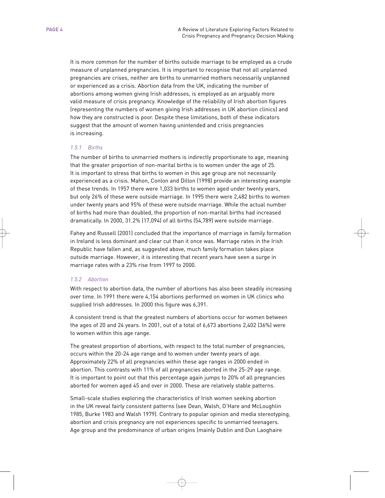It is more common for the number of births outside marriage to be employed as a crude measure of unplanned pregnancies. It is important to recognise that not all unplanned pregnancies are crises, neither are births to unmarried mothers necessarily unplanned or experienced as a crisis. Abortion data from the UK, indicating the number of abortions among women giving Irish addresses, is employed as an arguably more valid measure of crisis pregnancy. Knowledge of the reliability of Irish abortion figures (representing the numbers of women giving Irish addresses in UK abortion clinics) and how they are constructed is poor. Despite these limitations, both of these indicators suggest that the amount of women having unintended and crisis pregnancies is increasing.

# *1.5.1 Births*

The number of births to unmarried mothers is indirectly proportionate to age, meaning that the greater proportion of non-marital births is to women under the age of 25. It is important to stress that births to women in this age group are not necessarily experienced as a crisis. Mahon, Conlon and Dillon (1998) provide an interesting example of these trends. In 1957 there were 1,033 births to women aged under twenty years, but only 26% of these were outside marriage. In 1995 there were 2,482 births to women under twenty years and 95% of these were outside marriage. While the actual number of births had more than doubled, the proportion of non-marital births had increased dramatically. In 2000, 31.2% (17,094) of all births (54,789) were outside marriage.

Fahey and Russell (2001) concluded that the importance of marriage in family formation in Ireland is less dominant and clear cut than it once was. Marriage rates in the Irish Republic have fallen and, as suggested above, much family formation takes place outside marriage. However, it is interesting that recent years have seen a surge in marriage rates with a 23% rise from 1997 to 2000.

# *1.5.2 Abortion*

With respect to abortion data, the number of abortions has also been steadily increasing over time. In 1991 there were 4,154 abortions performed on women in UK clinics who supplied Irish addresses. In 2000 this figure was 6,391.

A consistent trend is that the greatest numbers of abortions occur for women between the ages of 20 and 24 years. In 2001, out of a total of 6,673 abortions 2,402 (36%) were to women within this age range.

The greatest proportion of abortions, with respect to the total number of pregnancies, occurs within the 20-24 age range and to women under twenty years of age. Approximately 22% of all pregnancies within these age ranges in 2000 ended in abortion. This contrasts with 11% of all pregnancies aborted in the 25-29 age range. It is important to point out that this percentage again jumps to 20% of all pregnancies aborted for women aged 45 and over in 2000. These are relatively stable patterns.

Small-scale studies exploring the characteristics of Irish women seeking abortion in the UK reveal fairly consistent patterns (see Dean, Walsh, O'Hare and McLoughlin 1985, Burke 1983 and Walsh 1979). Contrary to popular opinion and media stereotyping, abortion and crisis pregnancy are not experiences specific to unmarried teenagers. Age group and the predominance of urban origins (mainly Dublin and Dun Laoghaire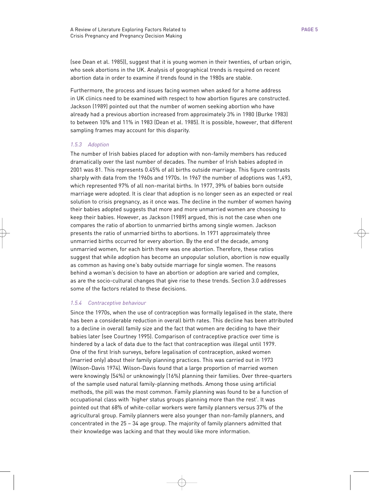(see Dean et al. 1985)), suggest that it is young women in their twenties, of urban origin, who seek abortions in the UK. Analysis of geographical trends is required on recent abortion data in order to examine if trends found in the 1980s are stable.

Furthermore, the process and issues facing women when asked for a home address in UK clinics need to be examined with respect to how abortion figures are constructed. Jackson (1989) pointed out that the number of women seeking abortion who have already had a previous abortion increased from approximately 3% in 1980 (Burke 1983) to between 10% and 11% in 1983 (Dean et al. 1985). It is possible, however, that different sampling frames may account for this disparity.

# *1.5.3 Adoption*

The number of Irish babies placed for adoption with non-family members has reduced dramatically over the last number of decades. The number of Irish babies adopted in 2001 was 81. This represents 0.45% of all births outside marriage. This figure contrasts sharply with data from the 1960s and 1970s. In 1967 the number of adoptions was 1,493, which represented 97% of all non-marital births. In 1977, 39% of babies born outside marriage were adopted. It is clear that adoption is no longer seen as an expected or real solution to crisis pregnancy, as it once was. The decline in the number of women having their babies adopted suggests that more and more unmarried women are choosing to keep their babies. However, as Jackson (1989) argued, this is not the case when one compares the ratio of abortion to unmarried births among single women. Jackson presents the ratio of unmarried births to abortions. In 1971 approximately three unmarried births occurred for every abortion. By the end of the decade, among unmarried women, for each birth there was one abortion. Therefore, these ratios suggest that while adoption has become an unpopular solution, abortion is now equally as common as having one's baby outside marriage for single women. The reasons behind a woman's decision to have an abortion or adoption are varied and complex, as are the socio-cultural changes that give rise to these trends. Section 3.0 addresses some of the factors related to these decisions.

# *1.5.4 Contraceptive behaviour*

Since the 1970s, when the use of contraception was formally legalised in the state, there has been a considerable reduction in overall birth rates. This decline has been attributed to a decline in overall family size and the fact that women are deciding to have their babies later (see Courtney 1995). Comparison of contraceptive practice over time is hindered by a lack of data due to the fact that contraception was illegal until 1979. One of the first Irish surveys, before legalisation of contraception, asked women (married only) about their family planning practices. This was carried out in 1973 (Wilson-Davis 1974). Wilson-Davis found that a large proportion of married women were knowingly (54%) or unknowingly (16%) planning their families. Over three-quarters of the sample used natural family-planning methods. Among those using artificial methods, the pill was the most common. Family planning was found to be a function of occupational class with 'higher status groups planning more than the rest'. It was pointed out that 68% of white-collar workers were family planners versus 37% of the agricultural group. Family planners were also younger than non-family planners, and concentrated in the 25 – 34 age group. The majority of family planners admitted that their knowledge was lacking and that they would like more information.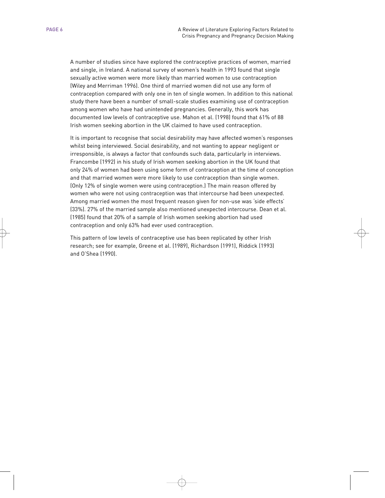A number of studies since have explored the contraceptive practices of women, married and single, in Ireland. A national survey of women's health in 1993 found that single sexually active women were more likely than married women to use contraception (Wiley and Merriman 1996). One third of married women did not use any form of contraception compared with only one in ten of single women. In addition to this national study there have been a number of small-scale studies examining use of contraception among women who have had unintended pregnancies. Generally, this work has documented low levels of contraceptive use. Mahon et al. (1998) found that 61% of 88 Irish women seeking abortion in the UK claimed to have used contraception.

It is important to recognise that social desirability may have affected women's responses whilst being interviewed. Social desirability, and not wanting to appear negligent or irresponsible, is always a factor that confounds such data, particularly in interviews. Francombe (1992) in his study of Irish women seeking abortion in the UK found that only 24% of women had been using some form of contraception at the time of conception and that married women were more likely to use contraception than single women. (Only 12% of single women were using contraception.) The main reason offered by women who were not using contraception was that intercourse had been unexpected. Among married women the most frequent reason given for non-use was 'side effects' (33%). 27% of the married sample also mentioned unexpected intercourse. Dean et al. (1985) found that 20% of a sample of Irish women seeking abortion had used contraception and only 63% had ever used contraception.

This pattern of low levels of contraceptive use has been replicated by other Irish research; see for example, Greene et al. (1989), Richardson (1991), Riddick (1993) and O'Shea (1990).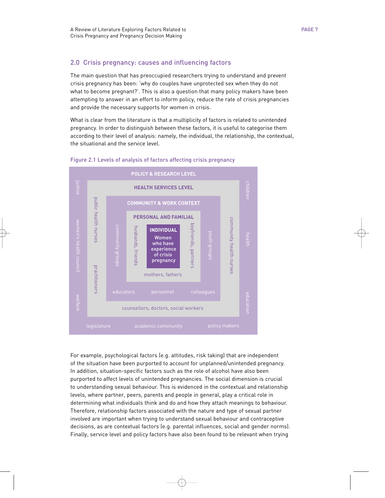# 2.0 Crisis pregnancy: causes and influencing factors

The main question that has preoccupied researchers trying to understand and prevent crisis pregnancy has been: 'why do couples have unprotected sex when they do not what to become pregnant?'. This is also a question that many policy makers have been attempting to answer in an effort to inform policy, reduce the rate of crisis pregnancies and provide the necessary supports for women in crisis.

What is clear from the literature is that a multiplicity of factors is related to unintended pregnancy. In order to distinguish between these factors, it is useful to categorise them according to their level of analysis: namely, the individual, the relationship, the contextual, the situational and the service level.



#### Figure 2.1 Levels of analysis of factors affecting crisis pregnancy

For example, psychological factors (e.g. attitudes, risk taking) that are independent of the situation have been purported to account for unplanned/unintended pregnancy. In addition, situation-specific factors such as the role of alcohol have also been purported to affect levels of unintended pregnancies. The social dimension is crucial to understanding sexual behaviour. This is evidenced in the contextual and relationship levels, where partner, peers, parents and people in general, play a critical role in determining what individuals think and do and how they attach meanings to behaviour. Therefore, relationship factors associated with the nature and type of sexual partner involved are important when trying to understand sexual behaviour and contraceptive decisions, as are contextual factors (e.g. parental influences, social and gender norms). Finally, service level and policy factors have also been found to be relevant when trying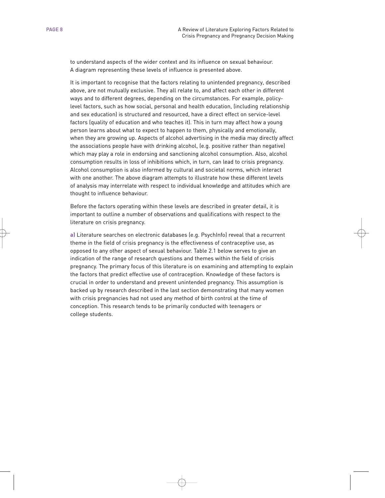to understand aspects of the wider context and its influence on sexual behaviour. A diagram representing these levels of influence is presented above.

It is important to recognise that the factors relating to unintended pregnancy, described above, are not mutually exclusive. They all relate to, and affect each other in different ways and to different degrees, depending on the circumstances. For example, policylevel factors, such as how social, personal and health education, (including relationship and sex education) is structured and resourced, have a direct effect on service-level factors (quality of education and who teaches it). This in turn may affect how a young person learns about what to expect to happen to them, physically and emotionally, when they are growing up. Aspects of alcohol advertising in the media may directly affect the associations people have with drinking alcohol, (e.g. positive rather than negative) which may play a role in endorsing and sanctioning alcohol consumption. Also, alcohol consumption results in loss of inhibitions which, in turn, can lead to crisis pregnancy. Alcohol consumption is also informed by cultural and societal norms, which interact with one another. The above diagram attempts to illustrate how these different levels of analysis may interrelate with respect to individual knowledge and attitudes which are thought to influence behaviour.

Before the factors operating within these levels are described in greater detail, it is important to outline a number of observations and qualifications with respect to the literature on crisis pregnancy.

**a)** Literature searches on electronic databases (e.g. PsychInfo) reveal that a recurrent theme in the field of crisis pregnancy is the effectiveness of contraceptive use, as opposed to any other aspect of sexual behaviour. Table 2.1 below serves to give an indication of the range of research questions and themes within the field of crisis pregnancy. The primary focus of this literature is on examining and attempting to explain the factors that predict effective use of contraception. Knowledge of these factors is crucial in order to understand and prevent unintended pregnancy. This assumption is backed up by research described in the last section demonstrating that many women with crisis pregnancies had not used any method of birth control at the time of conception. This research tends to be primarily conducted with teenagers or college students.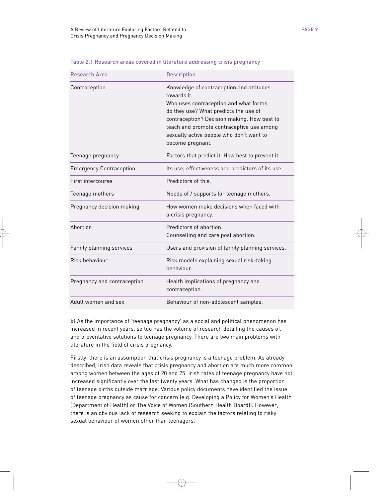Research Area **Description** 

Contraception **Knowledge of contraception** 

| ing crisis pregnancy      |
|---------------------------|
| ntraception and attitudes |
| cention and what forms    |

Table 2.1 Research areas covered in literature address

towards it.

|                                | Who uses contraception and what forms<br>do they use? What predicts the use of<br>contraception? Decision making. How best to<br>teach and promote contraceptive use among<br>sexually active people who don't want to<br>become pregnant. |  |  |  |
|--------------------------------|--------------------------------------------------------------------------------------------------------------------------------------------------------------------------------------------------------------------------------------------|--|--|--|
| Teenage pregnancy              | Factors that predict it. How best to prevent it.                                                                                                                                                                                           |  |  |  |
| <b>Emergency Contraception</b> | Its use, effectiveness and predictors of its use.                                                                                                                                                                                          |  |  |  |
| First intercourse              | Predictors of this.                                                                                                                                                                                                                        |  |  |  |
| Teenage mothers                | Needs of / supports for teenage mothers.                                                                                                                                                                                                   |  |  |  |
| Pregnancy decision making      | How women make decisions when faced with<br>a crisis pregnancy.                                                                                                                                                                            |  |  |  |
| Abortion                       | Predictors of abortion.<br>Counselling and care post abortion.                                                                                                                                                                             |  |  |  |
| Family planning services       | Users and provision of family planning services.                                                                                                                                                                                           |  |  |  |
| Risk behaviour                 | Risk models explaining sexual risk-taking<br>behaviour.                                                                                                                                                                                    |  |  |  |
| Pregnancy and contraception    | Health implications of pregnancy and<br>contraception.                                                                                                                                                                                     |  |  |  |
| Adult women and sex            | Behaviour of non-adolescent samples.                                                                                                                                                                                                       |  |  |  |

**b)** As the importance of 'teenage pregnancy' as a social and political phenomenon has increased in recent years, so too has the volume of research detailing the causes of, and preventative solutions to teenage pregnancy. There are two main problems with literature in the field of crisis pregnancy.

Firstly, there is an assumption that crisis pregnancy is a teenage problem. As already described, Irish data reveals that crisis pregnancy and abortion are much more common among women between the ages of 20 and 25. Irish rates of teenage pregnancy have not increased significantly over the last twenty years. What has changed is the proportion of teenage births outside marriage. Various policy documents have identified the issue of teenage pregnancy as cause for concern (e.g. Developing a Policy for Women's Health (Department of Health) or The Voice of Women (Southern Health Board)). However, there is an obvious lack of research seeking to explain the factors relating to risky sexual behaviour of women other than teenagers.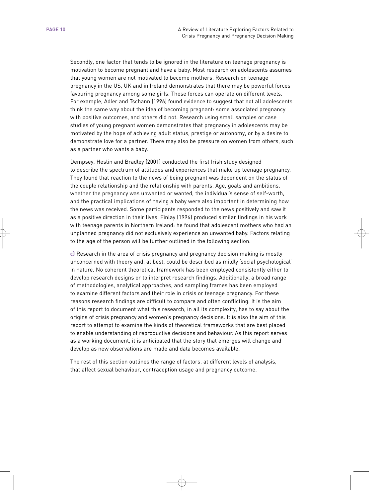Secondly, one factor that tends to be ignored in the literature on teenage pregnancy is motivation to become pregnant and have a baby. Most research on adolescents assumes that young women are not motivated to become mothers. Research on teenage pregnancy in the US, UK and in Ireland demonstrates that there may be powerful forces favouring pregnancy among some girls. These forces can operate on different levels. For example, Adler and Tschann (1996) found evidence to suggest that not all adolescents think the same way about the idea of becoming pregnant: some associated pregnancy with positive outcomes, and others did not. Research using small samples or case studies of young pregnant women demonstrates that pregnancy in adolescents may be motivated by the hope of achieving adult status, prestige or autonomy, or by a desire to demonstrate love for a partner. There may also be pressure on women from others, such as a partner who wants a baby.

Dempsey, Heslin and Bradley (2001) conducted the first Irish study designed to describe the spectrum of attitudes and experiences that make up teenage pregnancy. They found that reaction to the news of being pregnant was dependent on the status of the couple relationship and the relationship with parents. Age, goals and ambitions, whether the pregnancy was unwanted or wanted, the individual's sense of self-worth, and the practical implications of having a baby were also important in determining how the news was received. Some participants responded to the news positively and saw it as a positive direction in their lives. Finlay (1996) produced similar findings in his work with teenage parents in Northern Ireland: he found that adolescent mothers who had an unplanned pregnancy did not exclusively experience an unwanted baby. Factors relating to the age of the person will be further outlined in the following section.

**c)** Research in the area of crisis pregnancy and pregnancy decision making is mostly unconcerned with theory and, at best, could be described as mildly 'social psychological' in nature. No coherent theoretical framework has been employed consistently either to develop research designs or to interpret research findings. Additionally, a broad range of methodologies, analytical approaches, and sampling frames has been employed to examine different factors and their role in crisis or teenage pregnancy. For these reasons research findings are difficult to compare and often conflicting. It is the aim of this report to document what this research, in all its complexity, has to say about the origins of crisis pregnancy and women's pregnancy decisions. It is also the aim of this report to attempt to examine the kinds of theoretical frameworks that are best placed to enable understanding of reproductive decisions and behaviour. As this report serves as a working document, it is anticipated that the story that emerges will change and develop as new observations are made and data becomes available.

The rest of this section outlines the range of factors, at different levels of analysis, that affect sexual behaviour, contraception usage and pregnancy outcome.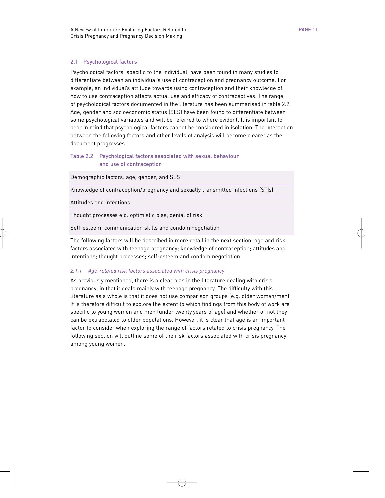#### 2.1 Psychological factors

Psychological factors, specific to the individual, have been found in many studies to differentiate between an individual's use of contraception and pregnancy outcome. For example, an individual's attitude towards using contraception and their knowledge of how to use contraception affects actual use and efficacy of contraceptives. The range of psychological factors documented in the literature has been summarised in table 2.2. Age, gender and socioeconomic status (SES) have been found to differentiate between some psychological variables and will be referred to where evident. It is important to bear in mind that psychological factors cannot be considered in isolation. The interaction between the following factors and other levels of analysis will become clearer as the document progresses.

# Table 2.2 Psychological factors associated with sexual behaviour and use of contraception

Demographic factors: age, gender, and SES

Knowledge of contraception/pregnancy and sexually transmitted infections (STIs)

Attitudes and intentions

Thought processes e.g. optimistic bias, denial of risk

Self-esteem, communication skills and condom negotiation

The following factors will be described in more detail in the next section: age and risk factors associated with teenage pregnancy; knowledge of contraception; attitudes and intentions; thought processes; self-esteem and condom negotiation.

#### *2.1.1 Age-related risk factors associated with crisis pregnancy*

As previously mentioned, there is a clear bias in the literature dealing with crisis pregnancy, in that it deals mainly with teenage pregnancy. The difficulty with this literature as a whole is that it does not use comparison groups (e.g. older women/men). It is therefore difficult to explore the extent to which findings from this body of work are specific to young women and men (under twenty years of age) and whether or not they can be extrapolated to older populations. However, it is clear that age is an important factor to consider when exploring the range of factors related to crisis pregnancy. The following section will outline some of the risk factors associated with crisis pregnancy among young women.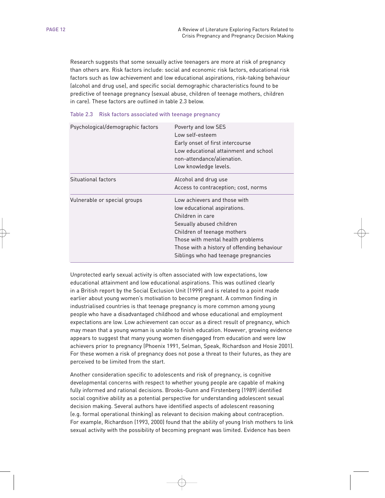Research suggests that some sexually active teenagers are more at risk of pregnancy than others are. Risk factors include: social and economic risk factors, educational risk factors such as low achievement and low educational aspirations, risk-taking behaviour (alcohol and drug use), and specific social demographic characteristics found to be predictive of teenage pregnancy (sexual abuse, children of teenage mothers, children in care). These factors are outlined in table 2.3 below.

| Psychological/demographic factors | Poverty and low SES<br>Low self-esteem<br>Early onset of first intercourse<br>Low educational attainment and school<br>non-attendance/alienation.<br>Low knowledge levels.                                                                                              |
|-----------------------------------|-------------------------------------------------------------------------------------------------------------------------------------------------------------------------------------------------------------------------------------------------------------------------|
| Situational factors               | Alcohol and drug use<br>Access to contraception; cost, norms                                                                                                                                                                                                            |
| Vulnerable or special groups      | Low achievers and those with<br>low educational aspirations.<br>Children in care<br>Sexually abused children<br>Children of teenage mothers<br>Those with mental health problems<br>Those with a history of offending behaviour<br>Siblings who had teenage pregnancies |

|  | Table 2.3 Risk factors associated with teenage pregnancy |  |  |  |  |
|--|----------------------------------------------------------|--|--|--|--|
|--|----------------------------------------------------------|--|--|--|--|

Unprotected early sexual activity is often associated with low expectations, low educational attainment and low educational aspirations. This was outlined clearly in a British report by the Social Exclusion Unit (1999) and is related to a point made earlier about young women's motivation to become pregnant. A common finding in industrialised countries is that teenage pregnancy is more common among young people who have a disadvantaged childhood and whose educational and employment expectations are low. Low achievement can occur as a direct result of pregnancy, which may mean that a young woman is unable to finish education. However, growing evidence appears to suggest that many young women disengaged from education and were low achievers prior to pregnancy (Phoenix 1991, Selman, Speak, Richardson and Hosie 2001). For these women a risk of pregnancy does not pose a threat to their futures, as they are perceived to be limited from the start.

Another consideration specific to adolescents and risk of pregnancy, is cognitive developmental concerns with respect to whether young people are capable of making fully informed and rational decisions. Brooks-Gunn and Firstenberg (1989) identified social cognitive ability as a potential perspective for understanding adolescent sexual decision making. Several authors have identified aspects of adolescent reasoning (e.g. formal operational thinking) as relevant to decision making about contraception. For example, Richardson (1993, 2000) found that the ability of young Irish mothers to link sexual activity with the possibility of becoming pregnant was limited. Evidence has been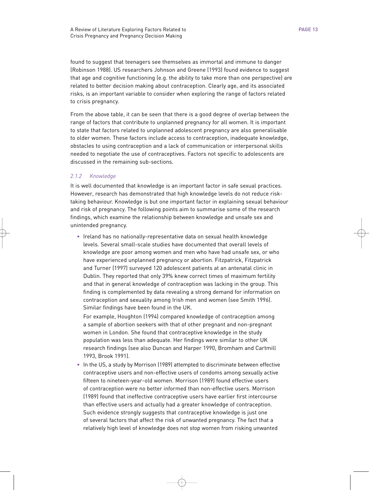found to suggest that teenagers see themselves as immortal and immune to danger (Robinson 1988). US researchers Johnson and Greene (1993) found evidence to suggest that age and cognitive functioning (e.g. the ability to take more than one perspective) are related to better decision making about contraception. Clearly age, and its associated risks, is an important variable to consider when exploring the range of factors related to crisis pregnancy.

From the above table, it can be seen that there is a good degree of overlap between the range of factors that contribute to unplanned pregnancy for all women. It is important to state that factors related to unplanned adolescent pregnancy are also generalisable to older women. These factors include access to contraception, inadequate knowledge, obstacles to using contraception and a lack of communication or interpersonal skills needed to negotiate the use of contraceptives. Factors not specific to adolescents are discussed in the remaining sub-sections.

# *2.1.2 Knowledge*

It is well documented that knowledge is an important factor in safe sexual practices. However, research has demonstrated that high knowledge levels do not reduce risktaking behaviour. Knowledge is but one important factor in explaining sexual behaviour and risk of pregnancy. The following points aim to summarise some of the research findings, which examine the relationship between knowledge and unsafe sex and unintended pregnancy.

• Ireland has no nationally-representative data on sexual health knowledge levels. Several small-scale studies have documented that overall levels of knowledge are poor among women and men who have had unsafe sex, or who have experienced unplanned pregnancy or abortion. Fitzpatrick, Fitzpatrick and Turner (1997) surveyed 120 adolescent patients at an antenatal clinic in Dublin. They reported that only 39% knew correct times of maximum fertility and that in general knowledge of contraception was lacking in the group. This finding is complemented by data revealing a strong demand for information on contraception and sexuality among Irish men and women (see Smith 1996). Similar findings have been found in the UK.

For example, Houghton (1994) compared knowledge of contraception among a sample of abortion seekers with that of other pregnant and non-pregnant women in London. She found that contraceptive knowledge in the study population was less than adequate. Her findings were similar to other UK research findings (see also Duncan and Harper 1990, Bromham and Cartmill 1993, Brook 1991).

• In the US, a study by Morrison (1989) attempted to discriminate between effective contraceptive users and non-effective users of condoms among sexually active fifteen to nineteen-year-old women. Morrison (1989) found effective users of contraception were no better informed than non-effective users. Morrison (1989) found that ineffective contraceptive users have earlier first intercourse than effective users and actually had a greater knowledge of contraception. Such evidence strongly suggests that contraceptive knowledge is just one of several factors that affect the risk of unwanted pregnancy. The fact that a relatively high level of knowledge does not stop women from risking unwanted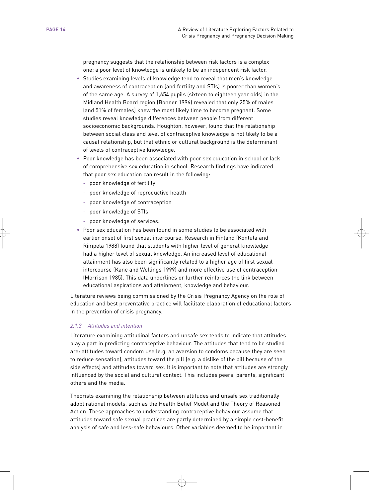pregnancy suggests that the relationship between risk factors is a complex one; a poor level of knowledge is unlikely to be an independent risk factor.

- Studies examining levels of knowledge tend to reveal that men's knowledge and awareness of contraception (and fertility and STIs) is poorer than women's of the same age. A survey of 1,654 pupils (sixteen to eighteen year olds) in the Midland Health Board region (Bonner 1996) revealed that only 25% of males (and 51% of females) knew the most likely time to become pregnant. Some studies reveal knowledge differences between people from different socioeconomic backgrounds. Houghton, however, found that the relationship between social class and level of contraceptive knowledge is not likely to be a causal relationship, but that ethnic or cultural background is the determinant of levels of contraceptive knowledge.
- Poor knowledge has been associated with poor sex education in school or lack of comprehensive sex education in school. Research findings have indicated that poor sex education can result in the following:
	- poor knowledge of fertility
	- poor knowledge of reproductive health
	- poor knowledge of contraception
	- poor knowledge of STIs
	- poor knowledge of services.
- Poor sex education has been found in some studies to be associated with earlier onset of first sexual intercourse. Research in Finland (Kontula and Rimpela 1988) found that students with higher level of general knowledge had a higher level of sexual knowledge. An increased level of educational attainment has also been significantly related to a higher age of first sexual intercourse (Kane and Wellings 1999) and more effective use of contraception (Morrison 1985). This data underlines or further reinforces the link between educational aspirations and attainment, knowledge and behaviour.

Literature reviews being commissioned by the Crisis Pregnancy Agency on the role of education and best preventative practice will facilitate elaboration of educational factors in the prevention of crisis pregnancy.

#### *2.1.3 Attitudes and intention*

Literature examining attitudinal factors and unsafe sex tends to indicate that attitudes play a part in predicting contraceptive behaviour. The attitudes that tend to be studied are: attitudes toward condom use (e.g. an aversion to condoms because they are seen to reduce sensation), attitudes toward the pill (e.g. a dislike of the pill because of the side effects) and attitudes toward sex. It is important to note that attitudes are strongly influenced by the social and cultural context. This includes peers, parents, significant others and the media.

Theorists examining the relationship between attitudes and unsafe sex traditionally adopt rational models, such as the Health Belief Model and the Theory of Reasoned Action. These approaches to understanding contraceptive behaviour assume that attitudes toward safe sexual practices are partly determined by a simple cost-benefit analysis of safe and less-safe behaviours. Other variables deemed to be important in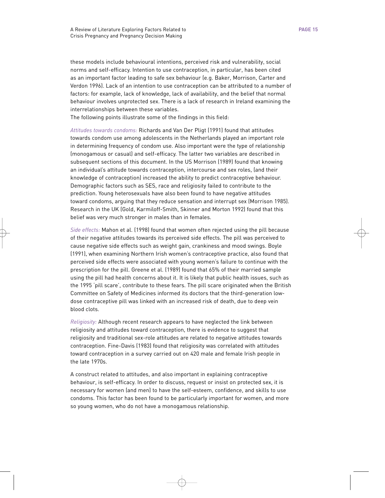these models include behavioural intentions, perceived risk and vulnerability, social norms and self-efficacy. Intention to use contraception, in particular, has been cited as an important factor leading to safe sex behaviour (e.g. Baker, Morrison, Carter and Verdon 1996). Lack of an intention to use contraception can be attributed to a number of factors: for example, lack of knowledge, lack of availability, and the belief that normal behaviour involves unprotected sex. There is a lack of research in Ireland examining the interrelationships between these variables.

The following points illustrate some of the findings in this field:

*Attitudes towards condoms:* Richards and Van Der Pligt (1991) found that attitudes towards condom use among adolescents in the Netherlands played an important role in determining frequency of condom use. Also important were the type of relationship (monogamous or casual) and self-efficacy. The latter two variables are described in subsequent sections of this document. In the US Morrison (1989) found that knowing an individual's attitude towards contraception, intercourse and sex roles, (and their knowledge of contraception) increased the ability to predict contraceptive behaviour. Demographic factors such as SES, race and religiosity failed to contribute to the prediction. Young heterosexuals have also been found to have negative attitudes toward condoms, arguing that they reduce sensation and interrupt sex (Morrison 1985). Research in the UK (Gold, Karmiloff-Smith, Skinner and Morton 1992) found that this belief was very much stronger in males than in females.

*Side effects:* Mahon et al. (1998) found that women often rejected using the pill because of their negative attitudes towards its perceived side effects. The pill was perceived to cause negative side effects such as weight gain, crankiness and mood swings. Boyle (1991), when examining Northern Irish women's contraceptive practice, also found that perceived side effects were associated with young women's failure to continue with the prescription for the pill. Greene et al. (1989) found that 65% of their married sample using the pill had health concerns about it. It is likely that public health issues, such as the 1995 'pill scare', contribute to these fears. The pill scare originated when the British Committee on Safety of Medicines informed its doctors that the third-generation lowdose contraceptive pill was linked with an increased risk of death, due to deep vein blood clots.

*Religiosity:* Although recent research appears to have neglected the link between religiosity and attitudes toward contraception, there is evidence to suggest that religiosity and traditional sex-role attitudes are related to negative attitudes towards contraception. Fine-Davis (1983) found that religiosity was correlated with attitudes toward contraception in a survey carried out on 420 male and female Irish people in the late 1970s.

A construct related to attitudes, and also important in explaining contraceptive behaviour, is self-efficacy. In order to discuss, request or insist on protected sex, it is necessary for women (and men) to have the self-esteem, confidence, and skills to use condoms. This factor has been found to be particularly important for women, and more so young women, who do not have a monogamous relationship.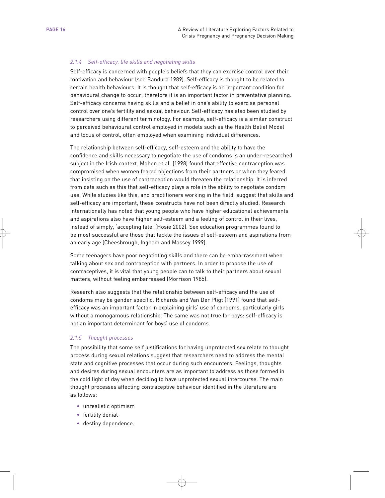# *2.1.4 Self-efficacy, life skills and negotiating skills*

Self-efficacy is concerned with people's beliefs that they can exercise control over their motivation and behaviour (see Bandura 1989). Self-efficacy is thought to be related to certain health behaviours. It is thought that self-efficacy is an important condition for behavioural change to occur; therefore it is an important factor in preventative planning. Self-efficacy concerns having skills and a belief in one's ability to exercise personal control over one's fertility and sexual behaviour. Self-efficacy has also been studied by researchers using different terminology. For example, self-efficacy is a similar construct to perceived behavioural control employed in models such as the Health Belief Model and locus of control, often employed when examining individual differences.

The relationship between self-efficacy, self-esteem and the ability to have the confidence and skills necessary to negotiate the use of condoms is an under-researched subject in the Irish context. Mahon et al. (1998) found that effective contraception was compromised when women feared objections from their partners or when they feared that insisting on the use of contraception would threaten the relationship. It is inferred from data such as this that self-efficacy plays a role in the ability to negotiate condom use. While studies like this, and practitioners working in the field, suggest that skills and self-efficacy are important, these constructs have not been directly studied. Research internationally has noted that young people who have higher educational achievements and aspirations also have higher self-esteem and a feeling of control in their lives, instead of simply, 'accepting fate' (Hosie 2002). Sex education programmes found to be most successful are those that tackle the issues of self-esteem and aspirations from an early age (Cheesbrough, Ingham and Massey 1999).

Some teenagers have poor negotiating skills and there can be embarrassment when talking about sex and contraception with partners. In order to propose the use of contraceptives, it is vital that young people can to talk to their partners about sexual matters, without feeling embarrassed (Morrison 1985).

Research also suggests that the relationship between self-efficacy and the use of condoms may be gender specific. Richards and Van Der Pligt (1991) found that selfefficacy was an important factor in explaining girls' use of condoms, particularly girls without a monogamous relationship. The same was not true for boys: self-efficacy is not an important determinant for boys' use of condoms.

# *2.1.5 Thought processes*

The possibility that some self justifications for having unprotected sex relate to thought process during sexual relations suggest that researchers need to address the mental state and cognitive processes that occur during such encounters. Feelings, thoughts and desires during sexual encounters are as important to address as those formed in the cold light of day when deciding to have unprotected sexual intercourse. The main thought processes affecting contraceptive behaviour identified in the literature are as follows:

- unrealistic optimism
- fertility denial
- destiny dependence.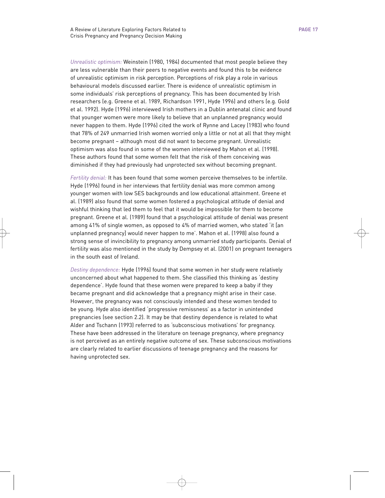*Unrealistic optimism:* Weinstein (1980, 1984) documented that most people believe they are less vulnerable than their peers to negative events and found this to be evidence of unrealistic optimism in risk perception. Perceptions of risk play a role in various behavioural models discussed earlier. There is evidence of unrealistic optimism in some individuals' risk perceptions of pregnancy. This has been documented by Irish researchers (e.g. Greene et al. 1989, Richardson 1991, Hyde 1996) and others (e.g. Gold et al. 1992). Hyde (1996) interviewed Irish mothers in a Dublin antenatal clinic and found that younger women were more likely to believe that an unplanned pregnancy would never happen to them. Hyde (1996) cited the work of Rynne and Lacey (1983) who found that 78% of 249 unmarried Irish women worried only a little or not at all that they might become pregnant – although most did not want to become pregnant. Unrealistic optimism was also found in some of the women interviewed by Mahon et al. (1998). These authors found that some women felt that the risk of them conceiving was diminished if they had previously had unprotected sex without becoming pregnant.

*Fertility denial:* It has been found that some women perceive themselves to be infertile. Hyde (1996) found in her interviews that fertility denial was more common among younger women with low SES backgrounds and low educational attainment. Greene et al. (1989) also found that some women fostered a psychological attitude of denial and wishful thinking that led them to feel that it would be impossible for them to become pregnant. Greene et al. (1989) found that a psychological attitude of denial was present among 41% of single women, as opposed to 4% of married women, who stated 'it [an unplanned pregnancy] would never happen to me'. Mahon et al. (1998) also found a strong sense of invincibility to pregnancy among unmarried study participants. Denial of fertility was also mentioned in the study by Dempsey et al. (2001) on pregnant teenagers in the south east of Ireland.

*Destiny dependence:* Hyde (1996) found that some women in her study were relatively unconcerned about what happened to them. She classified this thinking as 'destiny dependence'. Hyde found that these women were prepared to keep a baby if they became pregnant and did acknowledge that a pregnancy might arise in their case. However, the pregnancy was not consciously intended and these women tended to be young. Hyde also identified 'progressive remissness' as a factor in unintended pregnancies (see section 2.2). It may be that destiny dependence is related to what Alder and Tschann (1993) referred to as 'subconscious motivations' for pregnancy. These have been addressed in the literature on teenage pregnancy, where pregnancy is not perceived as an entirely negative outcome of sex. These subconscious motivations are clearly related to earlier discussions of teenage pregnancy and the reasons for having unprotected sex.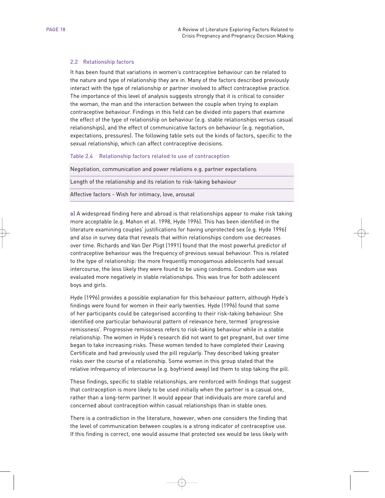#### 2.2 Relationship factors

It has been found that variations in women's contraceptive behaviour can be related to the nature and type of relationship they are in. Many of the factors described previously interact with the type of relationship or partner involved to affect contraceptive practice. The importance of this level of analysis suggests strongly that it is critical to consider the woman, the man and the interaction between the couple when trying to explain contraceptive behaviour. Findings in this field can be divided into papers that examine the effect of the type of relationship on behaviour (e.g. stable relationships versus casual relationships), and the effect of communicative factors on behaviour (e.g. negotiation, expectations, pressures). The following table sets out the kinds of factors, specific to the sexual relationship, which can affect contraceptive decisions.

#### Table 2.4 Relationship factors related to use of contraception

Negotiation, communication and power relations e.g. partner expectations

Length of the relationship and its relation to risk-taking behaviour

Affective factors - Wish for intimacy, love, arousal

**a)** A widespread finding here and abroad is that relationships appear to make risk taking more acceptable (e.g. Mahon et al. 1998, Hyde 1996). This has been identified in the literature examining couples' justifications for having unprotected sex (e.g. Hyde 1996) and also in survey data that reveals that within relationships condom use decreases over time. Richards and Van Der Pligt (1991) found that the most powerful predictor of contraceptive behaviour was the frequency of previous sexual behaviour. This is related to the type of relationship: the more frequently monogamous adolescents had sexual intercourse, the less likely they were found to be using condoms. Condom use was evaluated more negatively in stable relationships. This was true for both adolescent boys and girls.

Hyde (1996) provides a possible explanation for this behaviour pattern, although Hyde's findings were found for women in their early twenties. Hyde (1996) found that some of her participants could be categorised according to their risk-taking behaviour. She identified one particular behavioural pattern of relevance here, termed 'progressive remissness'. Progressive remissness refers to risk-taking behaviour while in a stable relationship. The women in Hyde's research did not want to get pregnant, but over time began to take increasing risks. These women tended to have completed their Leaving Certificate and had previously used the pill regularly. They described taking greater risks over the course of a relationship. Some women in this group stated that the relative infrequency of intercourse (e.g. boyfriend away) led them to stop taking the pill.

These findings, specific to stable relationships, are reinforced with findings that suggest that contraception is more likely to be used initially when the partner is a casual one, rather than a long-term partner. It would appear that individuals are more careful and concerned about contraception within casual relationships than in stable ones.

There is a contradiction in the literature, however, when one considers the finding that the level of communication between couples is a strong indicator of contraceptive use. If this finding is correct, one would assume that protected sex would be less likely with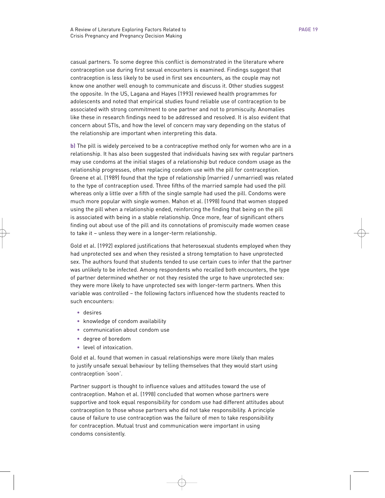casual partners. To some degree this conflict is demonstrated in the literature where contraception use during first sexual encounters is examined. Findings suggest that contraception is less likely to be used in first sex encounters, as the couple may not know one another well enough to communicate and discuss it. Other studies suggest the opposite. In the US, Lagana and Hayes (1993) reviewed health programmes for adolescents and noted that empirical studies found reliable use of contraception to be associated with strong commitment to one partner and not to promiscuity. Anomalies like these in research findings need to be addressed and resolved. It is also evident that concern about STIs, and how the level of concern may vary depending on the status of the relationship are important when interpreting this data.

**b)** The pill is widely perceived to be a contraceptive method only for women who are in a relationship. It has also been suggested that individuals having sex with regular partners may use condoms at the initial stages of a relationship but reduce condom usage as the relationship progresses, often replacing condom use with the pill for contraception. Greene et al. (1989) found that the type of relationship (married / unmarried) was related to the type of contraception used. Three fifths of the married sample had used the pill whereas only a little over a fifth of the single sample had used the pill. Condoms were much more popular with single women. Mahon et al. (1998) found that women stopped using the pill when a relationship ended, reinforcing the finding that being on the pill is associated with being in a stable relationship. Once more, fear of significant others finding out about use of the pill and its connotations of promiscuity made women cease to take it – unless they were in a longer-term relationship.

Gold et al. (1992) explored justifications that heterosexual students employed when they had unprotected sex and when they resisted a strong temptation to have unprotected sex. The authors found that students tended to use certain cues to infer that the partner was unlikely to be infected. Among respondents who recalled both encounters, the type of partner determined whether or not they resisted the urge to have unprotected sex: they were more likely to have unprotected sex with longer-term partners. When this variable was controlled – the following factors influenced how the students reacted to such encounters:

- desires
- knowledge of condom availability
- communication about condom use
- degree of boredom
- level of intoxication.

Gold et al. found that women in casual relationships were more likely than males to justify unsafe sexual behaviour by telling themselves that they would start using contraception 'soon'.

Partner support is thought to influence values and attitudes toward the use of contraception. Mahon et al. (1998) concluded that women whose partners were supportive and took equal responsibility for condom use had different attitudes about contraception to those whose partners who did not take responsibility. A principle cause of failure to use contraception was the failure of men to take responsibility for contraception. Mutual trust and communication were important in using condoms consistently.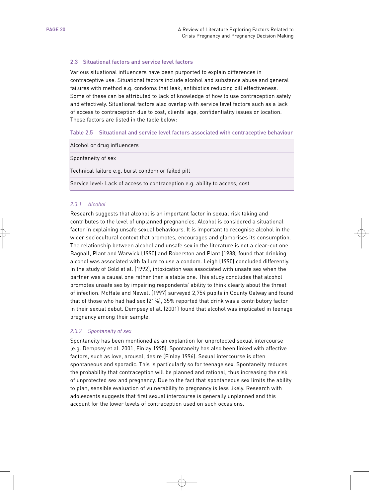# 2.3 Situational factors and service level factors

Various situational influencers have been purported to explain differences in contraceptive use. Situational factors include alcohol and substance abuse and general failures with method e.g. condoms that leak, antibiotics reducing pill effectiveness. Some of these can be attributed to lack of knowledge of how to use contraception safely and effectively. Situational factors also overlap with service level factors such as a lack of access to contraception due to cost, clients' age, confidentiality issues or location. These factors are listed in the table below:

#### Table 2.5 Situational and service level factors associated with contraceptive behaviour

Alcohol or drug influencers

Spontaneity of sex

Technical failure e.g. burst condom or failed pill

Service level: Lack of access to contraception e.g. ability to access, cost

#### *2.3.1 Alcohol*

Research suggests that alcohol is an important factor in sexual risk taking and contributes to the level of unplanned pregnancies. Alcohol is considered a situational factor in explaining unsafe sexual behaviours. It is important to recognise alcohol in the wider sociocultural context that promotes, encourages and glamorises its consumption. The relationship between alcohol and unsafe sex in the literature is not a clear-cut one. Bagnall, Plant and Warwick (1990) and Roberston and Plant (1988) found that drinking alcohol was associated with failure to use a condom. Leigh (1990) concluded differently. In the study of Gold et al. (1992), intoxication was associated with unsafe sex when the partner was a causal one rather than a stable one. This study concludes that alcohol promotes unsafe sex by impairing respondents' ability to think clearly about the threat of infection. McHale and Newell (1997) surveyed 2,754 pupils in County Galway and found that of those who had had sex (21%), 35% reported that drink was a contributory factor in their sexual debut. Dempsey et al. (2001) found that alcohol was implicated in teenage pregnancy among their sample.

#### *2.3.2 Spontaneity of sex*

Spontaneity has been mentioned as an explantion for unprotected sexual intercourse (e.g. Dempsey et al. 2001, Finlay 1995). Spontaneity has also been linked with affective factors, such as love, arousal, desire (Finlay 1996). Sexual intercourse is often spontaneous and sporadic. This is particularly so for teenage sex. Spontaneity reduces the probability that contraception will be planned and rational, thus increasing the risk of unprotected sex and pregnancy. Due to the fact that spontaneous sex limits the ability to plan, sensible evaluation of vulnerability to pregnancy is less likely. Research with adolescents suggests that first sexual intercourse is generally unplanned and this account for the lower levels of contraception used on such occasions.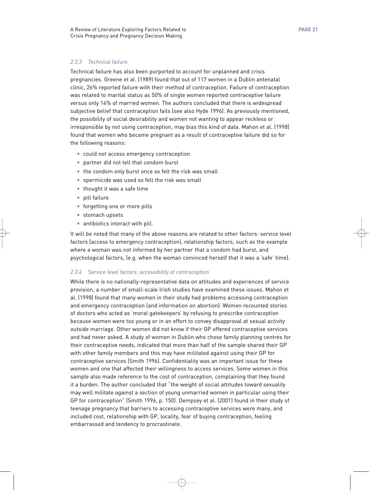# *2.3.3 Technical failure*

Technical failure has also been purported to account for unplanned and crisis pregnancies. Greene et al. (1989) found that out of 117 women in a Dublin antenatal clinic, 26% reported failure with their method of contraception. Failure of contraception was related to marital status as 50% of single women reported contraceptive failure versus only 14% of married women. The authors concluded that there is widespread subjective belief that contraception fails (see also Hyde 1996). As previously mentioned, the possibility of social desirability and women not wanting to appear reckless or irresponsible by not using contraception, may bias this kind of data. Mahon et al. (1998) found that women who became pregnant as a result of contraceptive failure did so for the following reasons:

- could not access emergency contraception
- partner did not tell that condom burst
- the condom only burst once so felt the risk was small
- spermicide was used so felt the risk was small
- thought it was a safe time
- pill failure
- forgetting one or more pills
- stomach upsets
- antibiotics interact with pill.

It will be noted that many of the above reasons are related to other factors: service level factors (access to emergency contraception), relationship factors, such as the example where a woman was not informed by her partner that a condom had burst, and psychological factors, (e.g. when the woman convinced herself that it was a 'safe' time).

# *2.3.4 Service level factors: accessibility of contraception*

While there is no nationally-representative data on attitudes and experiences of service provision, a number of small-scale Irish studies have examined these issues. Mahon et al. (1998) found that many women in their study had problems accessing contraception and emergency contraception (and information on abortion). Women recounted stories of doctors who acted as 'moral gatekeepers' by refusing to prescribe contraception because women were too young or in an effort to convey disapproval at sexual activity outside marriage. Other women did not know if their GP offered contraceptive services and had never asked. A study of women in Dublin who chose family planning centres for their contraceptive needs, indicated that more than half of the sample shared their GP with other family members and this may have militated against using their GP for contraceptive services (Smith 1996). Confidentiality was an important issue for these women and one that affected their willingness to access services. Some women in this sample also made reference to the cost of contraception, complaining that they found it a burden. The author concluded that "the weight of social attitudes toward sexuality may well militate against a section of young unmarried women in particular using their GP for contraception" (Smith 1996, p. 150). Dempsey et al. (2001) found in their study of teenage pregnancy that barriers to accessing contraceptive services were many, and included cost, relationship with GP, locality, fear of buying contraception, feeling embarrassed and tendency to procrastinate.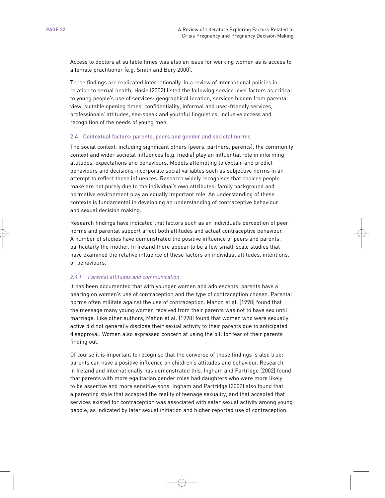Access to doctors at suitable times was also an issue for working women as is access to a female practitioner (e.g. Smith and Bury 2000).

These findings are replicated internationally. In a review of international policies in relation to sexual health, Hosie (2002) listed the following service level factors as critical to young people's use of services: geographical location, services hidden from parental view, suitable opening times, confidentiality, informal and user-friendly services, professionals' attitudes, sex-speak and youthful linguistics, inclusive access and recognition of the needs of young men.

#### 2.4 Contextual factors: parents, peers and gender and societal norms

The social context, including significant others (peers, partners, parents), the community context and wider societal influences (e.g. media) play an influential role in informing attitudes, expectations and behaviours. Models attempting to explain and predict behaviours and decisions incorporate social variables such as subjective norms in an attempt to reflect these influences. Research widely recognises that choices people make are not purely due to the individual's own attributes: family background and normative environment play an equally important role. An understanding of these contexts is fundamental in developing an understanding of contraceptive behaviour and sexual decision making.

Research findings have indicated that factors such as an individual's perception of peer norms and parental support affect both attitudes and actual contraceptive behaviour. A number of studies have demonstrated the positive influence of peers and parents, particularly the mother. In Ireland there appear to be a few small-scale studies that have examined the relative influence of these factors on individual attitudes, intentions, or behaviours.

#### *2.4.1. Parental attitudes and communication*

It has been documented that with younger women and adolescents, parents have a bearing on women's use of contraception and the type of contraception chosen. Parental norms often militate against the use of contraception. Mahon et al. (1998) found that the message many young women received from their parents was not to have sex until marriage. Like other authors, Mahon et al. (1998) found that women who were sexually active did not generally disclose their sexual activity to their parents due to anticipated disapproval. Women also expressed concern at using the pill for fear of their parents finding out.

Of course it is important to recognise that the converse of these findings is also true: parents can have a positive influence on children's attitudes and behaviour. Research in Ireland and internationally has demonstrated this. Ingham and Partridge (2002) found that parents with more egalitarian gender roles had daughters who were more likely to be assertive and more sensitive sons. Ingham and Partridge (2002) also found that a parenting style that accepted the reality of teenage sexuality, and that accepted that services existed for contraception was associated with safer sexual activity among young people, as indicated by later sexual initiation and higher reported use of contraception.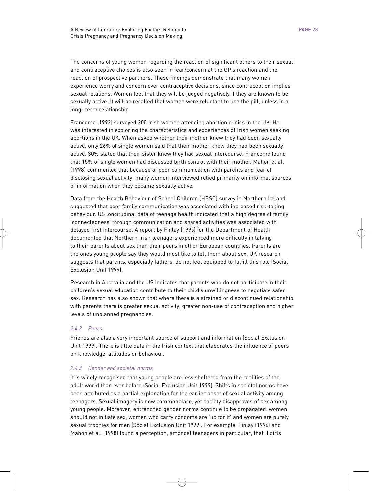The concerns of young women regarding the reaction of significant others to their sexual and contraceptive choices is also seen in fear/concern at the GP's reaction and the reaction of prospective partners. These findings demonstrate that many women experience worry and concern over contraceptive decisions, since contraception implies sexual relations. Women feel that they will be judged negatively if they are known to be sexually active. It will be recalled that women were reluctant to use the pill, unless in a long- term relationship.

Francome (1992) surveyed 200 Irish women attending abortion clinics in the UK. He was interested in exploring the characteristics and experiences of Irish women seeking abortions in the UK. When asked whether their mother knew they had been sexually active, only 26% of single women said that their mother knew they had been sexually active. 30% stated that their sister knew they had sexual intercourse. Francome found that 15% of single women had discussed birth control with their mother. Mahon et al. (1998) commented that because of poor communication with parents and fear of disclosing sexual activity, many women interviewed relied primarily on informal sources of information when they became sexually active.

Data from the Health Behaviour of School Children (HBSC) survey in Northern Ireland suggested that poor family communication was associated with increased risk-taking behaviour. US longitudinal data of teenage health indicated that a high degree of family 'connectedness' through communication and shared activities was associated with delayed first intercourse. A report by Finlay (1995) for the Department of Health documented that Northern Irish teenagers experienced more difficulty in talking to their parents about sex than their peers in other European countries. Parents are the ones young people say they would most like to tell them about sex. UK research suggests that parents, especially fathers, do not feel equipped to fulfill this role (Social Exclusion Unit 1999).

Research in Australia and the US indicates that parents who do not participate in their children's sexual education contribute to their child's unwillingness to negotiate safer sex. Research has also shown that where there is a strained or discontinued relationship with parents there is greater sexual activity, greater non-use of contraception and higher levels of unplanned pregnancies.

# *2.4.2 Peers*

Friends are also a very important source of support and information (Social Exclusion Unit 1999). There is little data in the Irish context that elaborates the influence of peers on knowledge, attitudes or behaviour.

# *2.4.3 Gender and societal norms*

It is widely recognised that young people are less sheltered from the realities of the adult world than ever before (Social Exclusion Unit 1999). Shifts in societal norms have been attributed as a partial explanation for the earlier onset of sexual activity among teenagers. Sexual imagery is now commonplace, yet society disapproves of sex among young people. Moreover, entrenched gender norms continue to be propagated: women should not initiate sex, women who carry condoms are 'up for it' and women are purely sexual trophies for men (Social Exclusion Unit 1999). For example, Finlay (1996) and Mahon et al. (1998) found a perception, amongst teenagers in particular, that if girls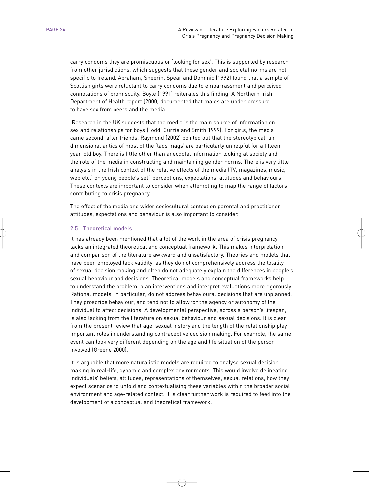carry condoms they are promiscuous or 'looking for sex'. This is supported by research from other jurisdictions, which suggests that these gender and societal norms are not specific to Ireland. Abraham, Sheerin, Spear and Dominic (1992) found that a sample of Scottish girls were reluctant to carry condoms due to embarrassment and perceived connotations of promiscuity. Boyle (1991) reiterates this finding. A Northern Irish Department of Health report (2000) documented that males are under pressure to have sex from peers and the media.

Research in the UK suggests that the media is the main source of information on sex and relationships for boys (Todd, Currie and Smith 1999). For girls, the media came second, after friends. Raymond (2002) pointed out that the stereotypical, unidimensional antics of most of the 'lads mags' are particularly unhelpful for a fifteenyear-old boy. There is little other than anecdotal information looking at society and the role of the media in constructing and maintaining gender norms. There is very little analysis in the Irish context of the relative effects of the media (TV, magazines, music, web etc.) on young people's self-perceptions, expectations, attitudes and behaviours. These contexts are important to consider when attempting to map the range of factors contributing to crisis pregnancy.

The effect of the media and wider sociocultural context on parental and practitioner attitudes, expectations and behaviour is also important to consider.

# 2.5 Theoretical models

It has already been mentioned that a lot of the work in the area of crisis pregnancy lacks an integrated theoretical and conceptual framework. This makes interpretation and comparison of the literature awkward and unsatisfactory. Theories and models that have been employed lack validity, as they do not comprehensively address the totality of sexual decision making and often do not adequately explain the differences in people's sexual behaviour and decisions. Theoretical models and conceptual frameworks help to understand the problem, plan interventions and interpret evaluations more rigorously. Rational models, in particular, do not address behavioural decisions that are unplanned. They proscribe behaviour, and tend not to allow for the agency or autonomy of the individual to affect decisions. A developmental perspective, across a person's lifespan, is also lacking from the literature on sexual behaviour and sexual decisions. It is clear from the present review that age, sexual history and the length of the relationship play important roles in understanding contraceptive decision making. For example, the same event can look very different depending on the age and life situation of the person involved (Greene 2000).

It is arguable that more naturalistic models are required to analyse sexual decision making in real-life, dynamic and complex environments. This would involve delineating individuals' beliefs, attitudes, representations of themselves, sexual relations, how they expect scenarios to unfold and contextualising these variables within the broader social environment and age-related context. It is clear further work is required to feed into the development of a conceptual and theoretical framework.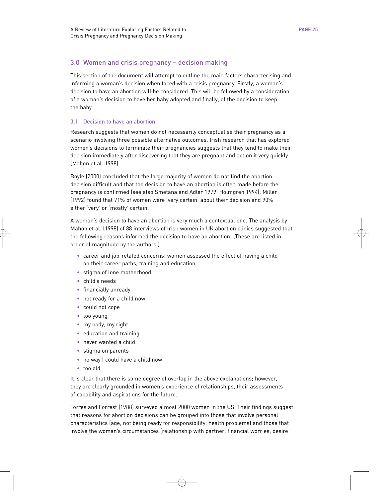# 3.0 Women and crisis pregnancy – decision making

This section of the document will attempt to outline the main factors characterising and informing a woman's decision when faced with a crisis pregnancy. Firstly, a woman's decision to have an abortion will be considered. This will be followed by a consideration of a woman's decision to have her baby adopted and finally, of the decision to keep the baby.

# 3.1 Decision to have an abortion

Research suggests that women do not necessarily conceptualise their pregnancy as a scenario involving three possible alternative outcomes. Irish research that has explored women's decisions to terminate their pregnancies suggests that they tend to make their decision immediately after discovering that they are pregnant and act on it very quickly (Mahon et al. 1998).

Boyle (2000) concluded that the large majority of women do not find the abortion decision difficult and that the decision to have an abortion is often made before the pregnancy is confirmed (see also Smetana and Adler 1979, Holmgren 1994). Miller (1992) found that 71% of women were 'very certain' about their decision and 90% either 'very' or 'mostly' certain.

A woman's decision to have an abortion is very much a contextual one. The analysis by Mahon et al. (1998) of 88 interviews of Irish women in UK abortion clinics suggested that the following reasons informed the decision to have an abortion: (These are listed in order of magnitude by the authors.)

- career and job-related concerns: women assessed the effect of having a child on their career paths, training and education.
- stigma of lone motherhood
- child's needs
- financially unready
- not ready for a child now
- could not cope
- too young
- my body, my right
- education and training
- never wanted a child
- stigma on parents
- no way I could have a child now
- too old.

It is clear that there is some degree of overlap in the above explanations; however, they are clearly grounded in women's experience of relationships, their assessments of capability and aspirations for the future.

Torres and Forrest (1988) surveyed almost 2000 women in the US. Their findings suggest that reasons for abortion decisions can be grouped into those that involve personal characteristics (age, not being ready for responsibility, health problems) and those that involve the woman's circumstances (relationship with partner, financial worries, desire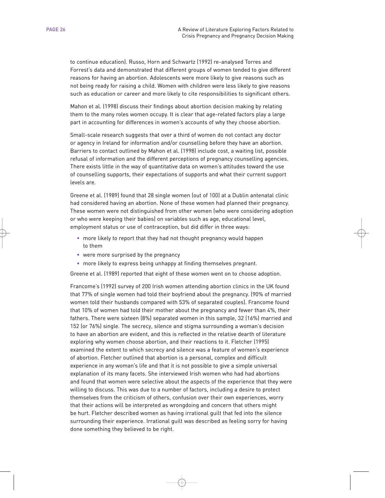to continue education). Russo, Horn and Schwartz (1992) re-analysed Torres and Forrest's data and demonstrated that different groups of women tended to give different reasons for having an abortion. Adolescents were more likely to give reasons such as not being ready for raising a child. Women with children were less likely to give reasons such as education or career and more likely to cite responsibilities to significant others.

Mahon et al. (1998) discuss their findings about abortion decision making by relating them to the many roles women occupy. It is clear that age-related factors play a large part in accounting for differences in women's accounts of why they choose abortion.

Small-scale research suggests that over a third of women do not contact any doctor or agency in Ireland for information and/or counselling before they have an abortion. Barriers to contact outlined by Mahon et al. (1998) include cost, a waiting list, possible refusal of information and the different perceptions of pregnancy counselling agencies. There exists little in the way of quantitative data on women's attitudes toward the use of counselling supports, their expectations of supports and what their current support levels are.

Greene et al. (1989) found that 28 single women (out of 100) at a Dublin antenatal clinic had considered having an abortion. None of these women had planned their pregnancy. These women were not distinguished from other women (who were considering adoption or who were keeping their babies) on variables such as age, educational level, employment status or use of contraception, but did differ in three ways:

- more likely to report that they had not thought pregnancy would happen to them
- were more surprised by the pregnancy
- more likely to express being unhappy at finding themselves pregnant.

Greene et al. (1989) reported that eight of these women went on to choose adoption.

Francome's (1992) survey of 200 Irish women attending abortion clinics in the UK found that 77% of single women had told their boyfriend about the pregnancy. (90% of married women told their husbands compared with 53% of separated couples). Francome found that 10% of women had told their mother about the pregnancy and fewer than 4%, their fathers. There were sixteen (8%) separated women in this sample, 32 (16%) married and 152 (or 76%) single. The secrecy, silence and stigma surrounding a woman's decision to have an abortion are evident, and this is reflected in the relative dearth of literature exploring why women choose abortion, and their reactions to it. Fletcher (1995) examined the extent to which secrecy and silence was a feature of women's experience of abortion. Fletcher outlined that abortion is a personal, complex and difficult experience in any woman's life and that it is not possible to give a simple universal explanation of its many facets. She interviewed Irish women who had had abortions and found that women were selective about the aspects of the experience that they were willing to discuss. This was due to a number of factors, including a desire to protect themselves from the criticism of others, confusion over their own experiences, worry that their actions will be interpreted as wrongdoing and concern that others might be hurt. Fletcher described women as having irrational guilt that fed into the silence surrounding their experience. Irrational guilt was described as feeling sorry for having done something they believed to be right.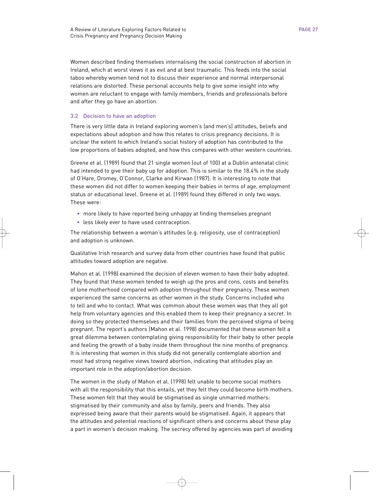Women described finding themselves internalising the social construction of abortion in Ireland, which at worst views it as evil and at best traumatic. This feeds into the social taboo whereby women tend not to discuss their experience and normal interpersonal relations are distorted. These personal accounts help to give some insight into why women are reluctant to engage with family members, friends and professionals before and after they go have an abortion.

# 3.2 Decision to have an adoption

There is very little data in Ireland exploring women's (and men's) attitudes, beliefs and expectations about adoption and how this relates to crisis pregnancy decisions. It is unclear the extent to which Ireland's social history of adoption has contributed to the low proportions of babies adopted, and how this compares with other western countries.

Greene et al. (1989) found that 21 single women (out of 100) at a Dublin antenatal clinic had intended to give their baby up for adoption. This is similar to the 18.4% in the study of O'Hare, Dromey, O'Connor, Clarke and Kirwan (1987). It is interesting to note that these women did not differ to women keeping their babies in terms of age, employment status or educational level. Greene et al. (1989) found they differed in only two ways. These were:

- more likely to have reported being unhappy at finding themselves pregnant
- less likely ever to have used contraception.

The relationship between a woman's attitudes (e.g. religiosity, use of contraception) and adoption is unknown.

Qualitative Irish research and survey data from other countries have found that public attitudes toward adoption are negative.

Mahon et al. (1998) examined the decision of eleven women to have their baby adopted. They found that these women tended to weigh up the pros and cons, costs and benefits of lone motherhood compared with adoption throughout their pregnancy. These women experienced the same concerns as other women in the study. Concerns included who to tell and who to contact. What was common about these women was that they all got help from voluntary agencies and this enabled them to keep their pregnancy a secret. In doing so they protected themselves and their families from the perceived stigma of being pregnant. The report's authors (Mahon et al. 1998) documented that these women felt a great dilemma between contemplating giving responsibility for their baby to other people and feeling the growth of a baby inside them throughout the nine months of pregnancy. It is interesting that women in this study did not generally contemplate abortion and most had strong negative views toward abortion, indicating that attitudes play an important role in the adoption/abortion decision.

The women in the study of Mahon et al. (1998) felt unable to become social mothers with all the responsibility that this entails, yet they felt they could become birth mothers. These women felt that they would be stigmatised as single unmarried mothers: stigmatised by their community and also by family, peers and friends. They also expressed being aware that their parents would be stigmatised. Again, it appears that the attitudes and potential reactions of significant others and concerns about these play a part in women's decision making. The secrecy offered by agencies was part of avoiding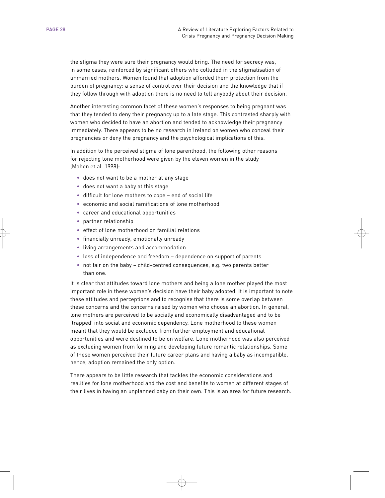the stigma they were sure their pregnancy would bring. The need for secrecy was, in some cases, reinforced by significant others who colluded in the stigmatisation of unmarried mothers. Women found that adoption afforded them protection from the burden of pregnancy: a sense of control over their decision and the knowledge that if they follow through with adoption there is no need to tell anybody about their decision.

Another interesting common facet of these women's responses to being pregnant was that they tended to deny their pregnancy up to a late stage. This contrasted sharply with women who decided to have an abortion and tended to acknowledge their pregnancy immediately. There appears to be no research in Ireland on women who conceal their pregnancies or deny the pregnancy and the psychological implications of this.

In addition to the perceived stigma of lone parenthood, the following other reasons for rejecting lone motherhood were given by the eleven women in the study (Mahon et al. 1998):

- does not want to be a mother at any stage
- does not want a baby at this stage
- difficult for lone mothers to cope end of social life
- economic and social ramifications of lone motherhood
- career and educational opportunities
- partner relationship
- effect of lone motherhood on familial relations
- financially unready, emotionally unready
- living arrangements and accommodation
- loss of independence and freedom dependence on support of parents
- not fair on the baby child-centred consequences, e.g. two parents better than one.

It is clear that attitudes toward lone mothers and being a lone mother played the most important role in these women's decision have their baby adopted. It is important to note these attitudes and perceptions and to recognise that there is some overlap between these concerns and the concerns raised by women who choose an abortion. In general, lone mothers are perceived to be socially and economically disadvantaged and to be 'trapped' into social and economic dependency. Lone motherhood to these women meant that they would be excluded from further employment and educational opportunities and were destined to be on welfare. Lone motherhood was also perceived as excluding women from forming and developing future romantic relationships. Some of these women perceived their future career plans and having a baby as incompatible, hence, adoption remained the only option.

There appears to be little research that tackles the economic considerations and realities for lone motherhood and the cost and benefits to women at different stages of their lives in having an unplanned baby on their own. This is an area for future research.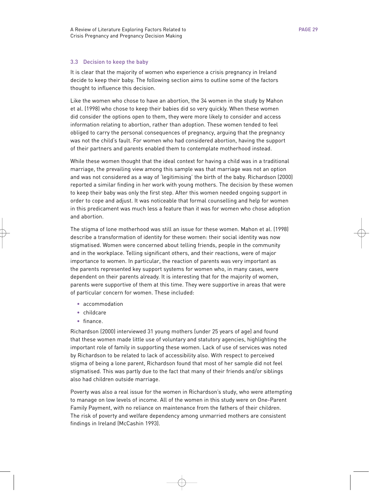#### 3.3 Decision to keep the baby

It is clear that the majority of women who experience a crisis pregnancy in Ireland decide to keep their baby. The following section aims to outline some of the factors thought to influence this decision.

Like the women who chose to have an abortion, the 34 women in the study by Mahon et al. (1998) who chose to keep their babies did so very quickly. When these women did consider the options open to them, they were more likely to consider and access information relating to abortion, rather than adoption. These women tended to feel obliged to carry the personal consequences of pregnancy, arguing that the pregnancy was not the child's fault. For women who had considered abortion, having the support of their partners and parents enabled them to contemplate motherhood instead.

While these women thought that the ideal context for having a child was in a traditional marriage, the prevailing view among this sample was that marriage was not an option and was not considered as a way of 'legitimising' the birth of the baby. Richardson (2000) reported a similar finding in her work with young mothers. The decision by these women to keep their baby was only the first step. After this women needed ongoing support in order to cope and adjust. It was noticeable that formal counselling and help for women in this predicament was much less a feature than it was for women who chose adoption and abortion.

The stigma of lone motherhood was still an issue for these women. Mahon et al. (1998) describe a transformation of identity for these women: their social identity was now stigmatised. Women were concerned about telling friends, people in the community and in the workplace. Telling significant others, and their reactions, were of major importance to women. In particular, the reaction of parents was very important as the parents represented key support systems for women who, in many cases, were dependent on their parents already. It is interesting that for the majority of women, parents were supportive of them at this time. They were supportive in areas that were of particular concern for women. These included:

- accommodation
- childcare
- finance.

Richardson (2000) interviewed 31 young mothers (under 25 years of age) and found that these women made little use of voluntary and statutory agencies, highlighting the important role of family in supporting these women. Lack of use of services was noted by Richardson to be related to lack of accessibility also. With respect to perceived stigma of being a lone parent, Richardson found that most of her sample did not feel stigmatised. This was partly due to the fact that many of their friends and/or siblings also had children outside marriage.

Poverty was also a real issue for the women in Richardson's study, who were attempting to manage on low levels of income. All of the women in this study were on One-Parent Family Payment, with no reliance on maintenance from the fathers of their children. The risk of poverty and welfare dependency among unmarried mothers are consistent findings in Ireland (McCashin 1993).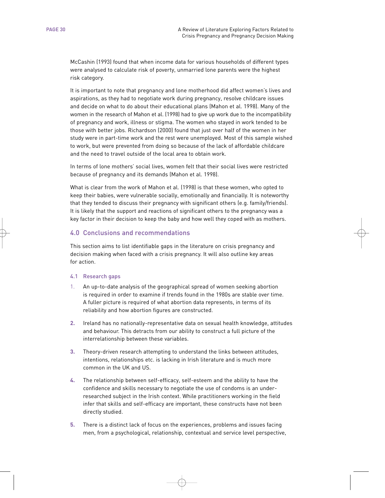McCashin (1993) found that when income data for various households of different types were analysed to calculate risk of poverty, unmarried lone parents were the highest risk category.

It is important to note that pregnancy and lone motherhood did affect women's lives and aspirations, as they had to negotiate work during pregnancy, resolve childcare issues and decide on what to do about their educational plans (Mahon et al. 1998). Many of the women in the research of Mahon et al. (1998) had to give up work due to the incompatibility of pregnancy and work, illness or stigma. The women who stayed in work tended to be those with better jobs. Richardson (2000) found that just over half of the women in her study were in part-time work and the rest were unemployed. Most of this sample wished to work, but were prevented from doing so because of the lack of affordable childcare and the need to travel outside of the local area to obtain work.

In terms of lone mothers' social lives, women felt that their social lives were restricted because of pregnancy and its demands (Mahon et al. 1998).

What is clear from the work of Mahon et al. (1998) is that these women, who opted to keep their babies, were vulnerable socially, emotionally and financially. It is noteworthy that they tended to discuss their pregnancy with significant others (e.g. family/friends). It is likely that the support and reactions of significant others to the pregnancy was a key factor in their decision to keep the baby and how well they coped with as mothers.

# 4.0 Conclusions and recommendations

This section aims to list identifiable gaps in the literature on crisis pregnancy and decision making when faced with a crisis pregnancy. It will also outline key areas for action.

# 4.1 Research gaps

- 1. An up-to-date analysis of the geographical spread of women seeking abortion is required in order to examine if trends found in the 1980s are stable over time. A fuller picture is required of what abortion data represents, in terms of its reliability and how abortion figures are constructed.
- **2.** Ireland has no nationally-representative data on sexual health knowledge, attitudes and behaviour. This detracts from our ability to construct a full picture of the interrelationship between these variables.
- **3.** Theory-driven research attempting to understand the links between attitudes, intentions, relationships etc. is lacking in Irish literature and is much more common in the UK and US.
- **4.** The relationship between self-efficacy, self-esteem and the ability to have the confidence and skills necessary to negotiate the use of condoms is an underresearched subject in the Irish context. While practitioners working in the field infer that skills and self-efficacy are important, these constructs have not been directly studied.
- **5.** There is a distinct lack of focus on the experiences, problems and issues facing men, from a psychological, relationship, contextual and service level perspective,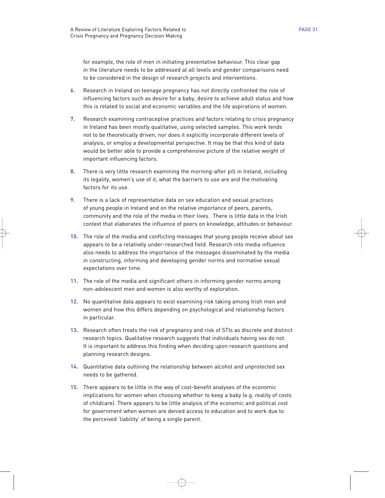for example, the role of men in initiating preventative behaviour. This clear gap in the literature needs to be addressed at all levels and gender comparisons need to be considered in the design of research projects and interventions.

- **6.** Research in Ireland on teenage pregnancy has not directly confronted the role of influencing factors such as desire for a baby, desire to achieve adult status and how this is related to social and economic variables and the life aspirations of women.
- **7.** Research examining contraceptive practices and factors relating to crisis pregnancy in Ireland has been mostly qualitative, using selected samples. This work tends not to be theoretically driven, nor does it explicitly incorporate different levels of analysis, or employ a developmental perspective. It may be that this kind of data would be better able to provide a comprehensive picture of the relative weight of important influencing factors.
- **8.** There is very little research examining the morning-after pill in Ireland, including its legality, women's use of it, what the barriers to use are and the motivating factors for its use.
- **9.** There is a lack of representative data on sex education and sexual practices of young people in Ireland and on the relative importance of peers, parents, community and the role of the media in their lives. There is little data in the Irish context that elaborates the influence of peers on knowledge, attitudes or behaviour.
- **10.** The role of the media and conflicting messages that young people receive about sex appears to be a relatively under-researched field. Research into media influence also needs to address the importance of the messages disseminated by the media in constructing, informing and developing gender norms and normative sexual expectations over time.
- **11.** The role of the media and significant others in informing gender norms among non-adolescent men and women is also worthy of exploration.
- **12.** No quantitative data appears to exist examining risk taking among Irish men and women and how this differs depending on psychological and relationship factors in particular.
- **13.** Research often treats the risk of pregnancy and risk of STIs as discrete and distinct research topics. Qualitative research suggests that individuals having sex do not. It is important to address this finding when deciding upon research questions and planning research designs.
- **14.** Quantitative data outlining the relationship between alcohol and unprotected sex needs to be gathered.
- **15.** There appears to be little in the way of cost-benefit analyses of the economic implications for women when choosing whether to keep a baby (e.g. reality of costs of childcare). There appears to be little analysis of the economic and political cost for government when women are denied access to education and to work due to the perceived 'liability' of being a single parent.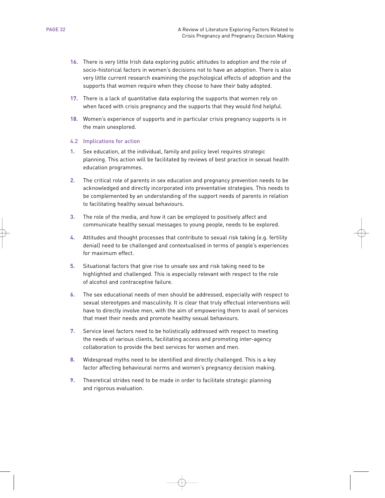- **16.** There is very little Irish data exploring public attitudes to adoption and the role of socio-historical factors in women's decisions not to have an adoption. There is also very little current research examining the psychological effects of adoption and the supports that women require when they choose to have their baby adopted.
- **17.** There is a lack of quantitative data exploring the supports that women rely on when faced with crisis pregnancy and the supports that they would find helpful.
- **18.** Women's experience of supports and in particular crisis pregnancy supports is in the main unexplored.

#### 4.2 Implications for action

- **1.** Sex education, at the individual, family and policy level requires strategic planning. This action will be facilitated by reviews of best practice in sexual health education programmes.
- **2.** The critical role of parents in sex education and pregnancy prevention needs to be acknowledged and directly incorporated into preventative strategies. This needs to be complemented by an understanding of the support needs of parents in relation to facilitating healthy sexual behaviours.
- **3.** The role of the media, and how it can be employed to positively affect and communicate healthy sexual messages to young people, needs to be explored.
- **4.** Attitudes and thought processes that contribute to sexual risk taking (e.g. fertility denial) need to be challenged and contextualised in terms of people's experiences for maximum effect.
- **5.** Situational factors that give rise to unsafe sex and risk taking need to be highlighted and challenged. This is especially relevant with respect to the role of alcohol and contraceptive failure.
- **6.** The sex educational needs of men should be addressed, especially with respect to sexual stereotypes and masculinity. It is clear that truly effectual interventions will have to directly involve men, with the aim of empowering them to avail of services that meet their needs and promote healthy sexual behaviours.
- **7.** Service level factors need to be holistically addressed with respect to meeting the needs of various clients, facilitating access and promoting inter-agency collaboration to provide the best services for women and men.
- **8.** Widespread myths need to be identified and directly challenged. This is a key factor affecting behavioural norms and women's pregnancy decision making.
- **9.** Theoretical strides need to be made in order to facilitate strategic planning and rigorous evaluation.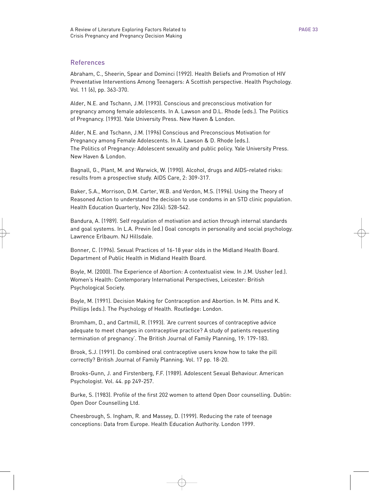# References

Abraham, C., Sheerin, Spear and Dominci (1992). Health Beliefs and Promotion of HIV Preventative Interventions Among Teenagers: A Scottish perspective. Health Psychology. Vol. 11 (6), pp. 363-370.

Alder, N.E. and Tschann, J.M. (1993). Conscious and preconscious motivation for pregnancy among female adolescents. In A. Lawson and D.L. Rhode (eds.). The Politics of Pregnancy. (1993). Yale University Press. New Haven & London.

Alder, N.E. and Tschann, J.M. (1996) Conscious and Preconscious Motivation for Pregnancy among Female Adolescents. In A. Lawson & D. Rhode (eds.). The Politics of Pregnancy: Adolescent sexuality and public policy. Yale University Press. New Haven & London.

Bagnall, G., Plant, M. and Warwick, W. (1990). Alcohol, drugs and AIDS-related risks: results from a prospective study. AIDS Care, 2: 309-317.

Baker, S.A., Morrison, D.M. Carter, W.B. and Verdon, M.S. (1996). Using the Theory of Reasoned Action to understand the decision to use condoms in an STD clinic population. Health Education Quarterly, Nov 23(4): 528-542.

Bandura, A. (1989). Self regulation of motivation and action through internal standards and goal systems. In L.A. Previn (ed.) Goal concepts in personality and social psychology. Lawrence Erlbaum. NJ Hillsdale.

Bonner, C. (1996). Sexual Practices of 16-18 year olds in the Midland Health Board. Department of Public Health in Midland Health Board.

Boyle, M. (2000). The Experience of Abortion: A contextualist view. In J.M. Ussher (ed.). Women's Health: Contemporary International Perspectives, Leicester: British Psychological Society.

Boyle, M. (1991). Decision Making for Contraception and Abortion. In M. Pitts and K. Phillips (eds.). The Psychology of Health. Routledge: London.

Bromham, D., and Cartmill, R. (1993). 'Are current sources of contraceptive advice adequate to meet changes in contraceptive practice? A study of patients requesting termination of pregnancy'. The British Journal of Family Planning, 19: 179-183.

Brook, S.J. (1991). Do combined oral contraceptive users know how to take the pill correctly? British Journal of Family Planning. Vol. 17 pp. 18-20.

Brooks-Gunn, J. and Firstenberg, F.F. (1989). Adolescent Sexual Behaviour. American Psychologist. Vol. 44. pp 249-257.

Burke, S. (1983). Profile of the first 202 women to attend Open Door counselling. Dublin: Open Door Counselling Ltd.

Cheesbrough, S. Ingham, R. and Massey, D. (1999). Reducing the rate of teenage conceptions: Data from Europe. Health Education Authority. London 1999.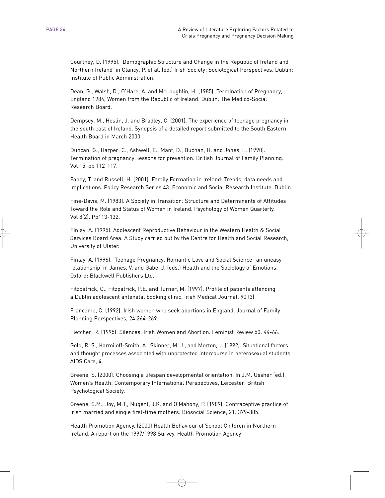Courtney, D. (1995). 'Demographic Structure and Change in the Republic of Ireland and Northern Ireland' in Clancy, P. et al. (ed.) Irish Society: Sociological Perspectives. Dublin: Institute of Public Administration.

Dean, G., Walsh, D., O'Hare, A. and McLoughlin, H. (1985). Termination of Pregnancy, England 1984, Women from the Republic of Ireland. Dublin: The Medico-Social Research Board.

Dempsey, M., Heslin, J. and Bradley, C. (2001). The experience of teenage pregnancy in the south east of Ireland. Synopsis of a detailed report submitted to the South Eastern Health Board in March 2000.

Duncan, G., Harper, C., Ashwell, E., Mant, D., Buchan, H. and Jones, L. (1990). Termination of pregnancy: lessons for prevention. British Journal of Family Planning. Vol 15. pp 112-117.

Fahey, T. and Russell, H. (2001). Family Formation in Ireland: Trends, data needs and implications. Policy Research Series 43. Economic and Social Research Institute. Dublin.

Fine-Davis, M. (1983). A Society in Transition: Structure and Determinants of Attitudes Toward the Role and Status of Women in Ireland. Psychology of Women Quarterly. Vol 8(2). Pp113-132.

Finlay, A. (1995). Adolescent Reproductive Behaviour in the Western Health & Social Services Board Area. A Study carried out by the Centre for Health and Social Research, University of Ulster.

Finlay, A. (1996). 'Teenage Pregnancy, Romantic Love and Social Science- an uneasy relationship' in James, V. and Gabe, J. (eds.) Health and the Sociology of Emotions. Oxford: Blackwell Publishers Ltd.

Fitzpatrick, C., Fitzpatrick, P.E. and Turner, M. (1997). Profile of patients attending a Dublin adolescent antenatal booking clinic. Irish Medical Journal. 90 (3)

Francome, C. (1992). Irish women who seek abortions in England. Journal of Family Planning Perspectives, 24:264-269.

Fletcher, R. (1995). Silences: Irish Women and Abortion. Feminist Review 50: 44-66.

Gold, R. S., Karmiloff-Smith, A., Skinner, M. J., and Morton, J. (1992). Situational factors and thought processes associated with unprotected intercourse in heterosexual students. AIDS Care, 4.

Greene, S. (2000). Choosing a lifespan developmental orientation. In J.M. Ussher (ed.). Women's Health: Contemporary International Perspectives, Leicester: British Psychological Society.

Greene, S.M., Joy, M.T., Nugent, J.K. and O'Mahony, P. (1989). Contraceptive practice of Irish married and single first-time mothers. Biosocial Science, 21: 379-385.

Health Promotion Agency. (2000) Health Behaviour of School Children in Northern Ireland. A report on the 1997/1998 Survey. Health Promotion Agency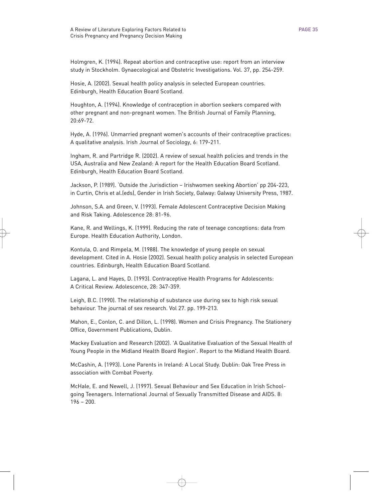Holmgren, K. (1994). Repeat abortion and contraceptive use: report from an interview study in Stockholm. Gynaecological and Obstetric Investigations. Vol. 37, pp. 254-259.

Hosie, A. (2002). Sexual health policy analysis in selected European countries. Edinburgh, Health Education Board Scotland.

Houghton, A. (1994). Knowledge of contraception in abortion seekers compared with other pregnant and non-pregnant women. The British Journal of Family Planning, 20:69-72.

Hyde, A. (1996). Unmarried pregnant women's accounts of their contraceptive practices: A qualitative analysis. Irish Journal of Sociology, 6: 179-211.

Ingham, R. and Partridge R. (2002). A review of sexual health policies and trends in the USA, Australia and New Zealand: A report for the Health Education Board Scotland. Edinburgh, Health Education Board Scotland.

Jackson, P. (1989). 'Outside the Jurisdiction – Irishwomen seeking Abortion' pp 204-223, in Curtin, Chris et al.(eds), Gender in Irish Society, Galway: Galway University Press, 1987.

Johnson, S.A. and Green, V. (1993). Female Adolescent Contraceptive Decision Making and Risk Taking. Adolescence 28: 81-96.

Kane, R. and Wellings, K. (1999). Reducing the rate of teenage conceptions: data from Europe. Health Education Authority, London.

Kontula, O. and Rimpela, M. (1988). The knowledge of young people on sexual development. Cited in A. Hosie (2002). Sexual health policy analysis in selected European countries. Edinburgh, Health Education Board Scotland.

Lagana, L. and Hayes, D. (1993). Contraceptive Health Programs for Adolescents: A Critical Review. Adolescence, 28: 347-359.

Leigh, B.C. (1990). The relationship of substance use during sex to high risk sexual behaviour. The journal of sex research. Vol 27. pp. 199-213.

Mahon, E., Conlon, C. and Dillon, L. (1998). Women and Crisis Pregnancy. The Stationery Office, Government Publications, Dublin.

Mackey Evaluation and Research (2002). 'A Qualitative Evaluation of the Sexual Health of Young People in the Midland Health Board Region'. Report to the Midland Health Board.

McCashin, A. (1993). Lone Parents in Ireland: A Local Study. Dublin: Oak Tree Press in association with Combat Poverty.

McHale, E. and Newell, J. (1997). Sexual Behaviour and Sex Education in Irish Schoolgoing Teenagers. International Journal of Sexually Transmitted Disease and AIDS. 8: 196 – 200.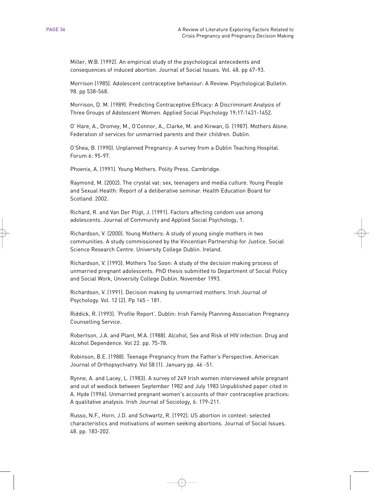Miller, W.B. (1992). An empirical study of the psychological antecedents and consequences of induced abortion. Journal of Social Issues. Vol. 48. pp 67-93.

Morrison (1985). Adolescent contraceptive behaviour: A Review. Psychological Bulletin. 98. pp 538-568.

Morrison, D. M. (1989). Predicting Contraceptive Efficacy: A Discriminant Analysis of Three Groups of Adolescent Women. Applied Social Psychology 19;17:1431-1452.

O' Hare, A., Dromey, M., O'Connor, A., Clarke, M. and Kirwan, G. (1987). Mothers Alone. Federation of services for unmarried parents and their children. Dublin.

O'Shea, B. (1990). Unplanned Pregnancy: A survey from a Dublin Teaching Hospital. Forum 6: 95-97.

Phoenix, A. (1991). Young Mothers. Polity Press. Cambridge.

Raymond, M. (2002). The crystal vat: sex, teenagers and media culture. Young People and Sexual Health: Report of a deliberative seminar. Health Education Board for Scotland. 2002.

Richard, R. and Van Der Pligt, J. (1991). Factors affecting condom use among adolescents. Journal of Community and Applied Social Psychology, 1.

Richardson, V. (2000). Young Mothers: A study of young single mothers in two communities. A study commissioned by the Vincentian Partnership for Justice. Social Science Research Centre. University College Dublin. Ireland.

Richardson, V. (1993). Mothers Too Soon: A study of the decision making process of unmarried pregnant adolescents. PhD thesis submitted to Department of Social Policy and Social Work, University College Dublin. November 1993.

Richardson, V. (1991). Decision making by unmarried mothers. Irish Journal of Psychology. Vol. 12 (2). Pp 165 - 181.

Riddick, R. (1993). 'Profile Report'. Dublin: Irish Family Planning Association Pregnancy Counselling Service.

Robertson, J.A. and Plant, M.A. (1988). Alcohol, Sex and Risk of HIV infection. Drug and Alcohol Dependence. Vol 22. pp. 75-78.

Robinson, B.E. (1988). Teenage Pregnancy from the Father's Perspective. American Journal of Orthopsychiatry. Vol 58 (1). January pp. 46 -51.

Rynne, A. and Lacey, L. (1983). A survey of 249 Irish women interviewed while pregnant and out of wedlock between September 1982 and July 1983 Unpublished paper cited in A. Hyde (1996). Unmarried pregnant women's accounts of their contraceptive practices: A qualitative analysis. Irish Journal of Sociology, 6: 179-211.

Russo, N.F., Horn, J.D. and Schwartz, R. (1992). US abortion in context: selected characteristics and motivations of women seeking abortions. Journal of Social Issues. 48. pp. 183-202.